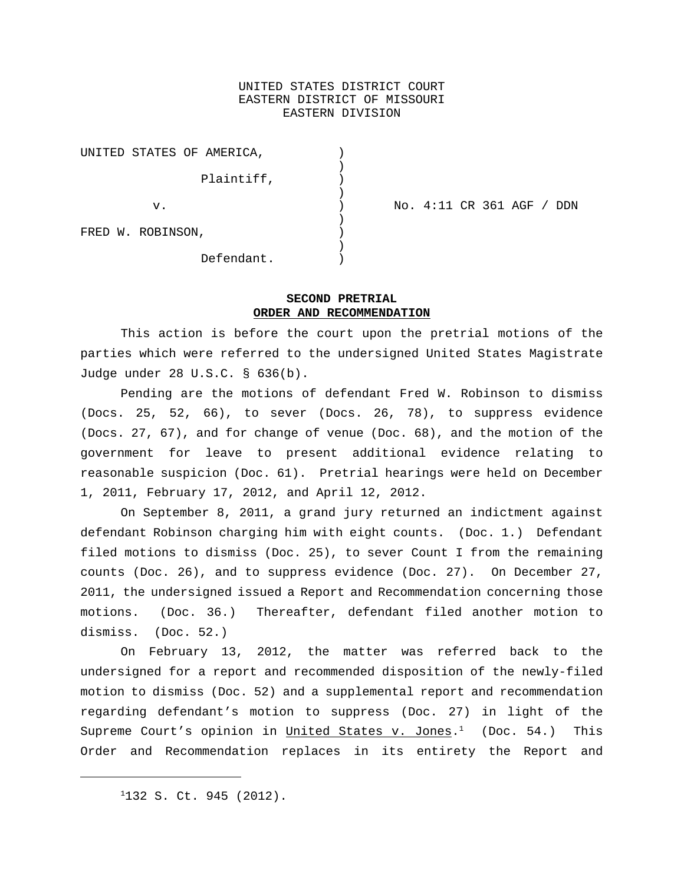## UNITED STATES DISTRICT COURT EASTERN DISTRICT OF MISSOURI EASTERN DIVISION

| UNITED STATES OF AMERICA, |            |  |
|---------------------------|------------|--|
|                           | Plaintiff, |  |
| v.                        |            |  |
| FRED W. ROBINSON,         |            |  |
|                           | Defendant. |  |

v. ) No. 4:11 CR 361 AGF / DDN

# **SECOND PRETRIAL ORDER AND RECOMMENDATION**

This action is before the court upon the pretrial motions of the parties which were referred to the undersigned United States Magistrate Judge under 28 U.S.C. § 636(b).

Pending are the motions of defendant Fred W. Robinson to dismiss (Docs. 25, 52, 66), to sever (Docs. 26, 78), to suppress evidence (Docs. 27, 67), and for change of venue (Doc. 68), and the motion of the government for leave to present additional evidence relating to reasonable suspicion (Doc. 61). Pretrial hearings were held on December 1, 2011, February 17, 2012, and April 12, 2012.

On September 8, 2011, a grand jury returned an indictment against defendant Robinson charging him with eight counts. (Doc. 1.) Defendant filed motions to dismiss (Doc. 25), to sever Count I from the remaining counts (Doc. 26), and to suppress evidence (Doc. 27). On December 27, 2011, the undersigned issued a Report and Recommendation concerning those motions. (Doc. 36.) Thereafter, defendant filed another motion to dismiss. (Doc. 52.)

On February 13, 2012, the matter was referred back to the undersigned for a report and recommended disposition of the newly-filed motion to dismiss (Doc. 52) and a supplemental report and recommendation regarding defendant's motion to suppress (Doc. 27) in light of the Supreme Court's opinion in <u>United States v. Jones</u>.<sup>1</sup> (Doc. 54.) This Order and Recommendation replaces in its entirety the Report and

<sup>&</sup>lt;sup>1</sup>132 S. Ct. 945 (2012).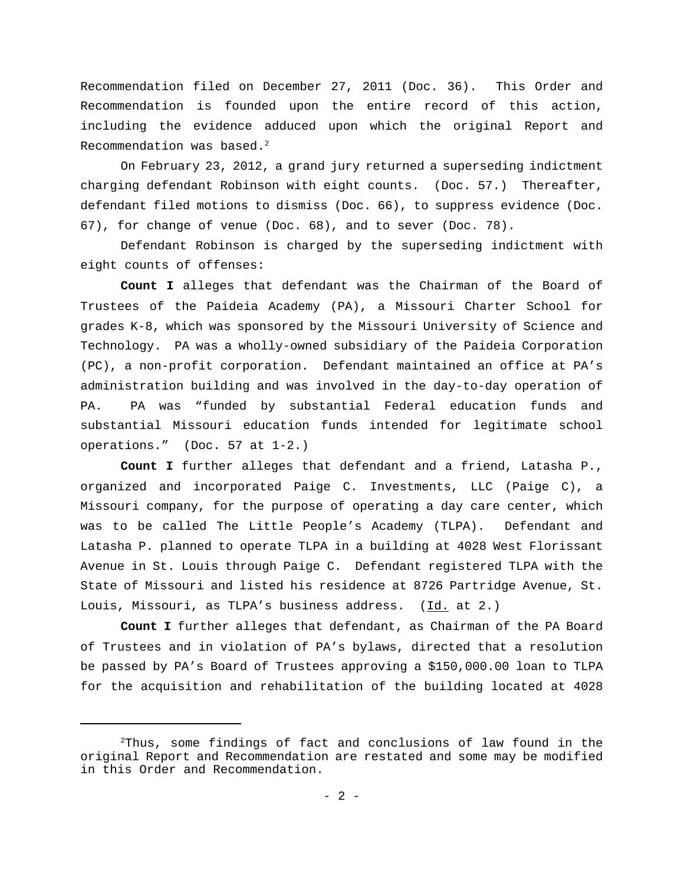Recommendation filed on December 27, 2011 (Doc. 36). This Order and Recommendation is founded upon the entire record of this action, including the evidence adduced upon which the original Report and Recommendation was based.<sup>2</sup>

On February 23, 2012, a grand jury returned a superseding indictment charging defendant Robinson with eight counts. (Doc. 57.) Thereafter, defendant filed motions to dismiss (Doc. 66), to suppress evidence (Doc. 67), for change of venue (Doc. 68), and to sever (Doc. 78).

Defendant Robinson is charged by the superseding indictment with eight counts of offenses:

**Count I** alleges that defendant was the Chairman of the Board of Trustees of the Paideia Academy (PA), a Missouri Charter School for grades K-8, which was sponsored by the Missouri University of Science and Technology. PA was a wholly-owned subsidiary of the Paideia Corporation (PC), a non-profit corporation. Defendant maintained an office at PA's administration building and was involved in the day-to-day operation of PA. PA was "funded by substantial Federal education funds and substantial Missouri education funds intended for legitimate school operations." (Doc. 57 at 1-2.)

**Count I** further alleges that defendant and a friend, Latasha P., organized and incorporated Paige C. Investments, LLC (Paige C), a Missouri company, for the purpose of operating a day care center, which was to be called The Little People's Academy (TLPA). Defendant and Latasha P. planned to operate TLPA in a building at 4028 West Florissant Avenue in St. Louis through Paige C. Defendant registered TLPA with the State of Missouri and listed his residence at 8726 Partridge Avenue, St. Louis, Missouri, as TLPA's business address. (Id. at 2.)

**Count I** further alleges that defendant, as Chairman of the PA Board of Trustees and in violation of PA's bylaws, directed that a resolution be passed by PA's Board of Trustees approving a \$150,000.00 loan to TLPA for the acquisition and rehabilitation of the building located at 4028

 $2$ Thus, some findings of fact and conclusions of law found in the original Report and Recommendation are restated and some may be modified in this Order and Recommendation.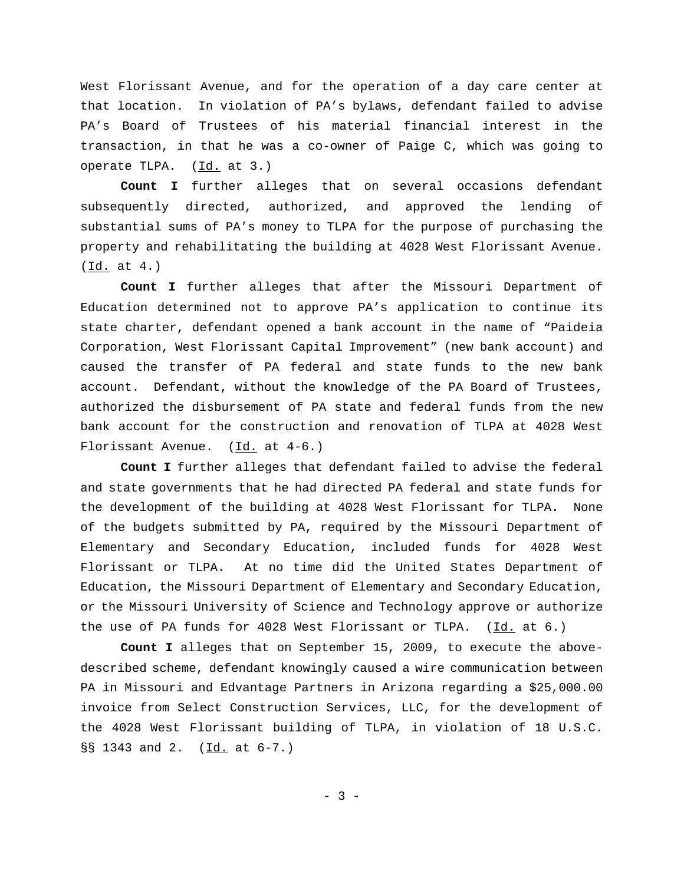West Florissant Avenue, and for the operation of a day care center at that location. In violation of PA's bylaws, defendant failed to advise PA's Board of Trustees of his material financial interest in the transaction, in that he was a co-owner of Paige C, which was going to operate TLPA. (Id. at 3.)

**Count I** further alleges that on several occasions defendant subsequently directed, authorized, and approved the lending of substantial sums of PA's money to TLPA for the purpose of purchasing the property and rehabilitating the building at 4028 West Florissant Avenue.  $(\underline{Id.}$  at  $4.)$ 

**Count I** further alleges that after the Missouri Department of Education determined not to approve PA's application to continue its state charter, defendant opened a bank account in the name of "Paideia Corporation, West Florissant Capital Improvement" (new bank account) and caused the transfer of PA federal and state funds to the new bank account. Defendant, without the knowledge of the PA Board of Trustees, authorized the disbursement of PA state and federal funds from the new bank account for the construction and renovation of TLPA at 4028 West Florissant Avenue. (Id. at 4-6.)

**Count I** further alleges that defendant failed to advise the federal and state governments that he had directed PA federal and state funds for the development of the building at 4028 West Florissant for TLPA. None of the budgets submitted by PA, required by the Missouri Department of Elementary and Secondary Education, included funds for 4028 West Florissant or TLPA. At no time did the United States Department of Education, the Missouri Department of Elementary and Secondary Education, or the Missouri University of Science and Technology approve or authorize the use of PA funds for 4028 West Florissant or TLPA. (Id. at 6.)

**Count I** alleges that on September 15, 2009, to execute the abovedescribed scheme, defendant knowingly caused a wire communication between PA in Missouri and Edvantage Partners in Arizona regarding a \$25,000.00 invoice from Select Construction Services, LLC, for the development of the 4028 West Florissant building of TLPA, in violation of 18 U.S.C. §§ 1343 and 2. (Id. at 6-7.)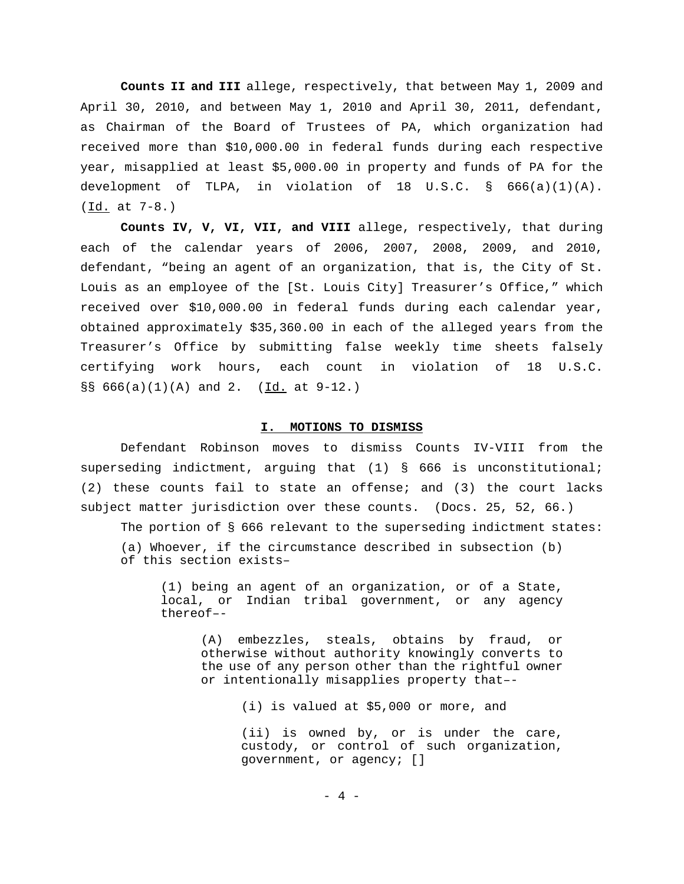**Counts II and III** allege, respectively, that between May 1, 2009 and April 30, 2010, and between May 1, 2010 and April 30, 2011, defendant, as Chairman of the Board of Trustees of PA, which organization had received more than \$10,000.00 in federal funds during each respective year, misapplied at least \$5,000.00 in property and funds of PA for the development of TLPA, in violation of 18 U.S.C. § 666(a)(1)(A). (Id. at 7-8.)

**Counts IV, V, VI, VII, and VIII** allege, respectively, that during each of the calendar years of 2006, 2007, 2008, 2009, and 2010, defendant, "being an agent of an organization, that is, the City of St. Louis as an employee of the [St. Louis City] Treasurer's Office," which received over \$10,000.00 in federal funds during each calendar year, obtained approximately \$35,360.00 in each of the alleged years from the Treasurer's Office by submitting false weekly time sheets falsely certifying work hours, each count in violation of 18 U.S.C. §§  $666(a)(1)(A)$  and 2. (Id. at 9-12.)

#### **I. MOTIONS TO DISMISS**

Defendant Robinson moves to dismiss Counts IV-VIII from the superseding indictment, arguing that (1) § 666 is unconstitutional; (2) these counts fail to state an offense; and (3) the court lacks subject matter jurisdiction over these counts. (Docs. 25, 52, 66.)

The portion of § 666 relevant to the superseding indictment states: (a) Whoever, if the circumstance described in subsection (b)

of this section exists–

(1) being an agent of an organization, or of a State, local, or Indian tribal government, or any agency thereof–-

(A) embezzles, steals, obtains by fraud, or otherwise without authority knowingly converts to the use of any person other than the rightful owner or intentionally misapplies property that–-

(i) is valued at \$5,000 or more, and

(ii) is owned by, or is under the care, custody, or control of such organization, government, or agency; []

 $- 4 -$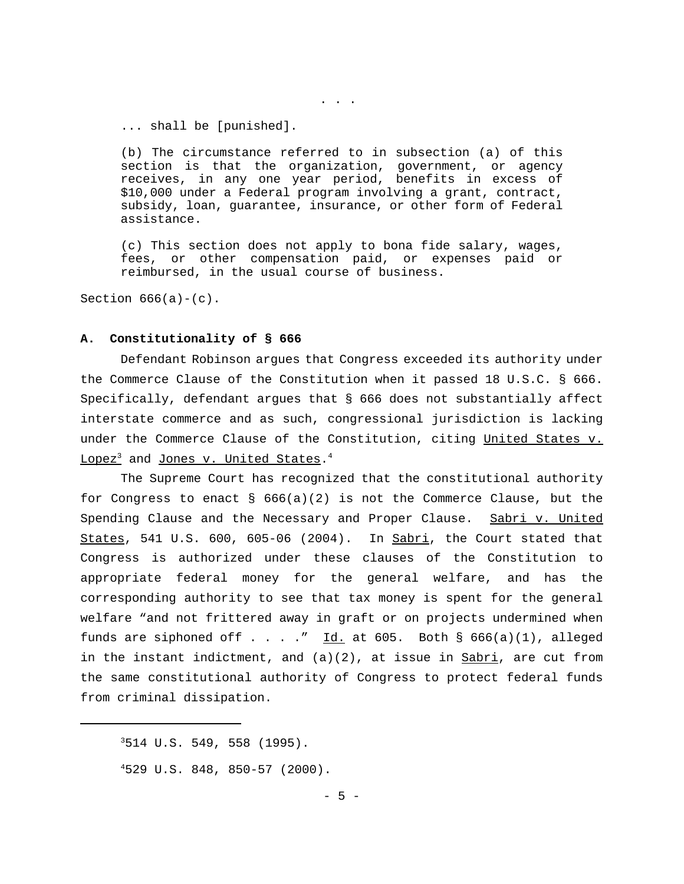... shall be [punished].

(b) The circumstance referred to in subsection (a) of this section is that the organization, government, or agency receives, in any one year period, benefits in excess of \$10,000 under a Federal program involving a grant, contract, subsidy, loan, guarantee, insurance, or other form of Federal assistance.

. . .

(c) This section does not apply to bona fide salary, wages, fees, or other compensation paid, or expenses paid or reimbursed, in the usual course of business.

Section  $666(a) - (c)$ .

#### **A. Constitutionality of § 666**

Defendant Robinson argues that Congress exceeded its authority under the Commerce Clause of the Constitution when it passed 18 U.S.C. § 666. Specifically, defendant argues that § 666 does not substantially affect interstate commerce and as such, congressional jurisdiction is lacking under the Commerce Clause of the Constitution, citing United States v.  $\mathtt{Lopez}^3$  and <u>Jones v. United States</u>. $^4$ 

The Supreme Court has recognized that the constitutional authority for Congress to enact §  $666(a)(2)$  is not the Commerce Clause, but the Spending Clause and the Necessary and Proper Clause. Sabri v. United States, 541 U.S. 600, 605-06 (2004). In  $Sabri$ , the Court stated that Congress is authorized under these clauses of the Constitution to appropriate federal money for the general welfare, and has the corresponding authority to see that tax money is spent for the general welfare "and not frittered away in graft or on projects undermined when funds are siphoned off  $\dots$  . . . " Id. at 605. Both § 666(a)(1), alleged in the instant indictment, and  $(a)(2)$ , at issue in Sabri, are cut from the same constitutional authority of Congress to protect federal funds from criminal dissipation.

 $3514$  U.S. 549, 558 (1995).

<sup>4</sup>529 U.S. 848, 850-57 (2000).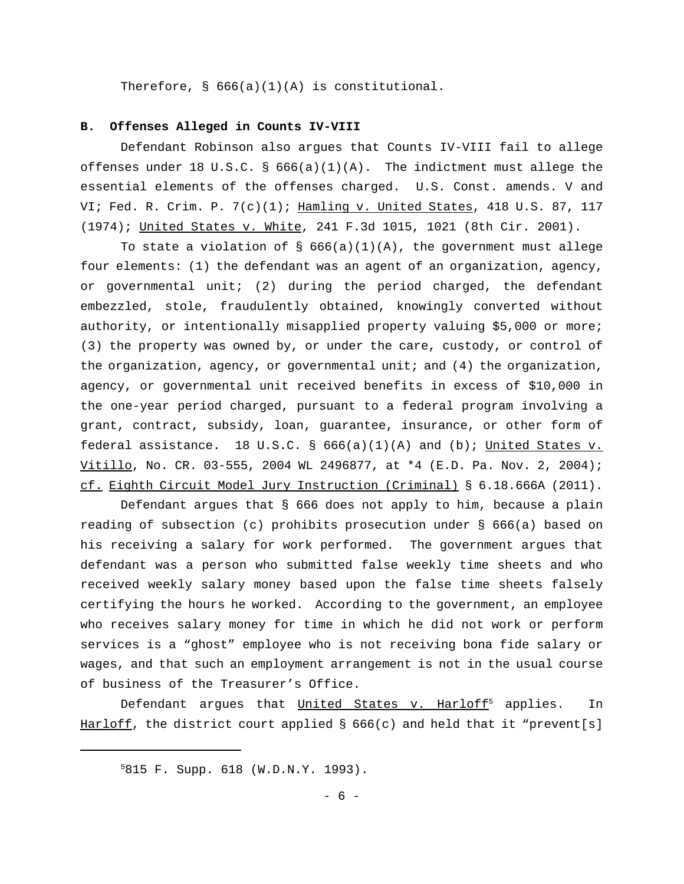Therefore, § 666(a)(1)(A) is constitutional.

### **B. Offenses Alleged in Counts IV-VIII**

Defendant Robinson also argues that Counts IV-VIII fail to allege offenses under 18 U.S.C. §  $666(a)(1)(A)$ . The indictment must allege the essential elements of the offenses charged. U.S. Const. amends. V and VI; Fed. R. Crim. P.  $7(c)(1)$ ; Hamling v. United States, 418 U.S. 87, 117 (1974); United States v. White, 241 F.3d 1015, 1021 (8th Cir. 2001).

To state a violation of  $\S$  666(a)(1)(A), the government must allege four elements: (1) the defendant was an agent of an organization, agency, or governmental unit; (2) during the period charged, the defendant embezzled, stole, fraudulently obtained, knowingly converted without authority, or intentionally misapplied property valuing \$5,000 or more; (3) the property was owned by, or under the care, custody, or control of the organization, agency, or governmental unit; and (4) the organization, agency, or governmental unit received benefits in excess of \$10,000 in the one-year period charged, pursuant to a federal program involving a grant, contract, subsidy, loan, guarantee, insurance, or other form of federal assistance. 18 U.S.C. §  $666(a)(1)(A)$  and (b); United States v. Vitillo, No. CR. 03-555, 2004 WL 2496877, at \*4 (E.D. Pa. Nov. 2, 2004); cf. Eighth Circuit Model Jury Instruction (Criminal) § 6.18.666A (2011).

Defendant argues that § 666 does not apply to him, because a plain reading of subsection (c) prohibits prosecution under § 666(a) based on his receiving a salary for work performed. The government argues that defendant was a person who submitted false weekly time sheets and who received weekly salary money based upon the false time sheets falsely certifying the hours he worked. According to the government, an employee who receives salary money for time in which he did not work or perform services is a "ghost" employee who is not receiving bona fide salary or wages, and that such an employment arrangement is not in the usual course of business of the Treasurer's Office.

Defendant argues that  $United States v. Harloff<sup>5</sup> applies. In$ </u> Harloff, the district court applied  $\S$  666(c) and held that it "prevent[s]

<sup>5</sup>815 F. Supp. 618 (W.D.N.Y. 1993).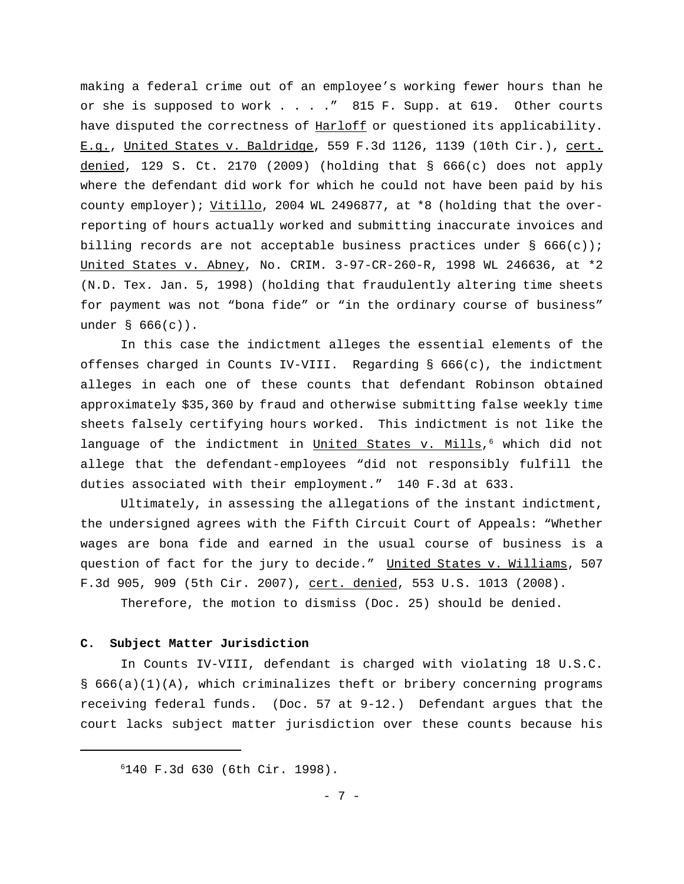making a federal crime out of an employee's working fewer hours than he or she is supposed to work . . . ." 815 F. Supp. at 619. Other courts have disputed the correctness of Harloff or questioned its applicability. E.g., United States v. Baldridge, 559 F.3d 1126, 1139 (10th Cir.), cert. denied, 129 S. Ct. 2170 (2009) (holding that  $\S$  666(c) does not apply where the defendant did work for which he could not have been paid by his county employer); Vitillo, 2004 WL 2496877, at \*8 (holding that the overreporting of hours actually worked and submitting inaccurate invoices and billing records are not acceptable business practices under  $\S$  666(c)); United States v. Abney, No. CRIM. 3-97-CR-260-R, 1998 WL 246636, at \*2 (N.D. Tex. Jan. 5, 1998) (holding that fraudulently altering time sheets for payment was not "bona fide" or "in the ordinary course of business" under § 666(c)).

In this case the indictment alleges the essential elements of the offenses charged in Counts IV-VIII. Regarding  $\S$  666(c), the indictment alleges in each one of these counts that defendant Robinson obtained approximately \$35,360 by fraud and otherwise submitting false weekly time sheets falsely certifying hours worked. This indictment is not like the language of the indictment in United States v. Mills,<sup>6</sup> which did not allege that the defendant-employees "did not responsibly fulfill the duties associated with their employment." 140 F.3d at 633.

Ultimately, in assessing the allegations of the instant indictment, the undersigned agrees with the Fifth Circuit Court of Appeals: "Whether wages are bona fide and earned in the usual course of business is a question of fact for the jury to decide." United States v. Williams, 507 F.3d 905, 909 (5th Cir. 2007), cert. denied, 553 U.S. 1013 (2008).

Therefore, the motion to dismiss (Doc. 25) should be denied.

## **C. Subject Matter Jurisdiction**

In Counts IV-VIII, defendant is charged with violating 18 U.S.C. § 666(a)(1)(A), which criminalizes theft or bribery concerning programs receiving federal funds. (Doc. 57 at 9-12.) Defendant argues that the court lacks subject matter jurisdiction over these counts because his

<sup>6</sup>140 F.3d 630 (6th Cir. 1998).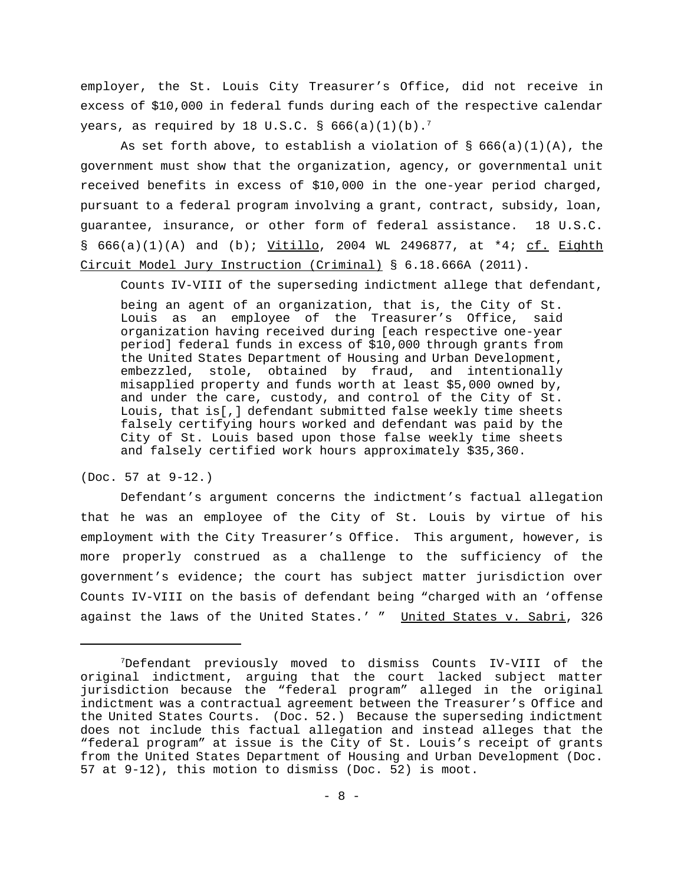employer, the St. Louis City Treasurer's Office, did not receive in excess of \$10,000 in federal funds during each of the respective calendar years, as required by 18 U.S.C. §  $666(a)(1)(b)$ .<sup>7</sup>

As set forth above, to establish a violation of  $\S$  666(a)(1)(A), the government must show that the organization, agency, or governmental unit received benefits in excess of \$10,000 in the one-year period charged, pursuant to a federal program involving a grant, contract, subsidy, loan, guarantee, insurance, or other form of federal assistance. 18 U.S.C. §  $666(a)(1)(A)$  and (b); Vitillo, 2004 WL 2496877, at \*4; cf. Eighth Circuit Model Jury Instruction (Criminal) § 6.18.666A (2011).

Counts IV-VIII of the superseding indictment allege that defendant,

being an agent of an organization, that is, the City of St. Louis as an employee of the Treasurer's Office, said organization having received during [each respective one-year period] federal funds in excess of \$10,000 through grants from the United States Department of Housing and Urban Development, embezzled, stole, obtained by fraud, and intentionally misapplied property and funds worth at least \$5,000 owned by, and under the care, custody, and control of the City of St. Louis, that is[,] defendant submitted false weekly time sheets falsely certifying hours worked and defendant was paid by the City of St. Louis based upon those false weekly time sheets and falsely certified work hours approximately \$35,360.

(Doc. 57 at 9-12.)

Defendant's argument concerns the indictment's factual allegation that he was an employee of the City of St. Louis by virtue of his employment with the City Treasurer's Office. This argument, however, is more properly construed as a challenge to the sufficiency of the government's evidence; the court has subject matter jurisdiction over Counts IV-VIII on the basis of defendant being "charged with an 'offense against the laws of the United States.' " United States v. Sabri, 326

<sup>7</sup>Defendant previously moved to dismiss Counts IV-VIII of the original indictment, arguing that the court lacked subject matter jurisdiction because the "federal program" alleged in the original indictment was a contractual agreement between the Treasurer's Office and the United States Courts. (Doc. 52.) Because the superseding indictment does not include this factual allegation and instead alleges that the "federal program" at issue is the City of St. Louis's receipt of grants from the United States Department of Housing and Urban Development (Doc. 57 at 9-12), this motion to dismiss (Doc. 52) is moot.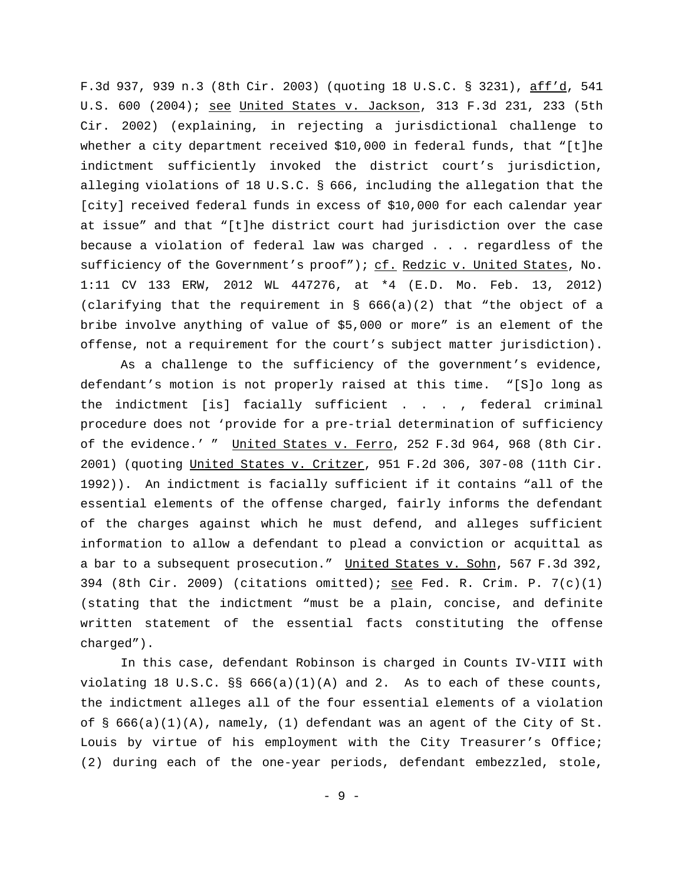F.3d 937, 939 n.3 (8th Cir. 2003) (quoting 18 U.S.C. § 3231), aff'd, 541 U.S. 600 (2004); see United States v. Jackson, 313 F.3d 231, 233 (5th Cir. 2002) (explaining, in rejecting a jurisdictional challenge to whether a city department received \$10,000 in federal funds, that "[t]he indictment sufficiently invoked the district court's jurisdiction, alleging violations of 18 U.S.C. § 666, including the allegation that the [city] received federal funds in excess of \$10,000 for each calendar year at issue" and that "[t]he district court had jurisdiction over the case because a violation of federal law was charged . . . regardless of the sufficiency of the Government's proof"); cf. Redzic v. United States, No. 1:11 CV 133 ERW, 2012 WL 447276, at \*4 (E.D. Mo. Feb. 13, 2012) (clarifying that the requirement in § 666(a)(2) that "the object of a bribe involve anything of value of \$5,000 or more" is an element of the offense, not a requirement for the court's subject matter jurisdiction).

As a challenge to the sufficiency of the government's evidence, defendant's motion is not properly raised at this time. "[S]o long as the indictment [is] facially sufficient . . . , federal criminal procedure does not 'provide for a pre-trial determination of sufficiency of the evidence.' " United States v. Ferro, 252 F.3d 964, 968 (8th Cir. 2001) (quoting United States v. Critzer, 951 F.2d 306, 307-08 (11th Cir. 1992)). An indictment is facially sufficient if it contains "all of the essential elements of the offense charged, fairly informs the defendant of the charges against which he must defend, and alleges sufficient information to allow a defendant to plead a conviction or acquittal as a bar to a subsequent prosecution." United States v. Sohn, 567 F.3d 392, 394 (8th Cir. 2009) (citations omitted); see Fed. R. Crim. P. 7(c)(1) (stating that the indictment "must be a plain, concise, and definite written statement of the essential facts constituting the offense charged").

In this case, defendant Robinson is charged in Counts IV-VIII with violating 18 U.S.C.  $\S$  666(a)(1)(A) and 2. As to each of these counts, the indictment alleges all of the four essential elements of a violation of  $\S$  666(a)(1)(A), namely, (1) defendant was an agent of the City of St. Louis by virtue of his employment with the City Treasurer's Office; (2) during each of the one-year periods, defendant embezzled, stole,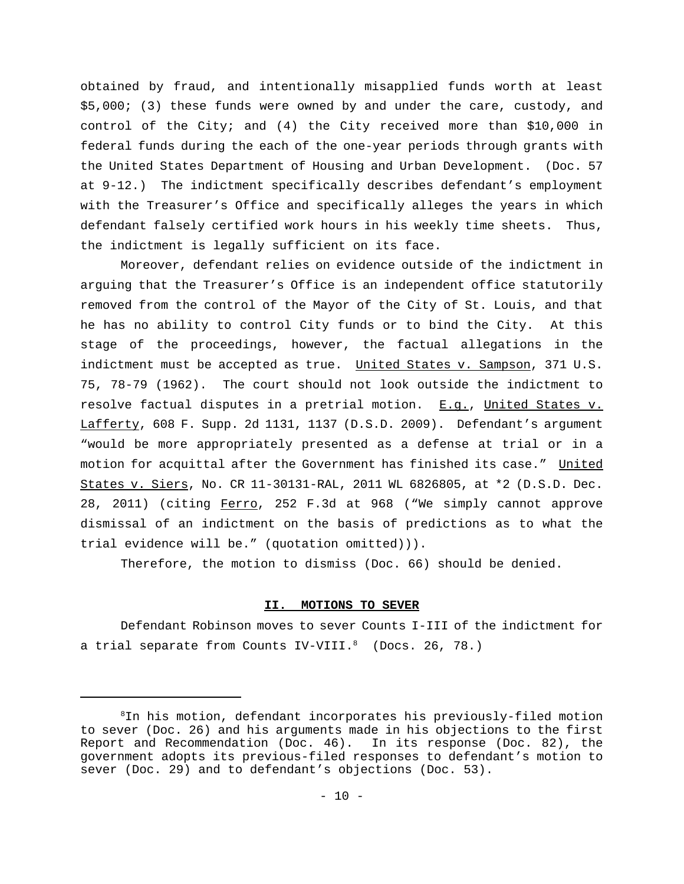obtained by fraud, and intentionally misapplied funds worth at least \$5,000; (3) these funds were owned by and under the care, custody, and control of the City; and (4) the City received more than \$10,000 in federal funds during the each of the one-year periods through grants with the United States Department of Housing and Urban Development. (Doc. 57 at 9-12.) The indictment specifically describes defendant's employment with the Treasurer's Office and specifically alleges the years in which defendant falsely certified work hours in his weekly time sheets. Thus, the indictment is legally sufficient on its face.

Moreover, defendant relies on evidence outside of the indictment in arguing that the Treasurer's Office is an independent office statutorily removed from the control of the Mayor of the City of St. Louis, and that he has no ability to control City funds or to bind the City. At this stage of the proceedings, however, the factual allegations in the indictment must be accepted as true. United States v. Sampson, 371 U.S. 75, 78-79 (1962). The court should not look outside the indictment to resolve factual disputes in a pretrial motion.  $E.g.,$  United States v. Lafferty, 608 F. Supp. 2d 1131, 1137 (D.S.D. 2009). Defendant's argument "would be more appropriately presented as a defense at trial or in a motion for acquittal after the Government has finished its case." United States v. Siers, No. CR 11-30131-RAL, 2011 WL 6826805, at \*2 (D.S.D. Dec. 28, 2011) (citing Ferro, 252 F.3d at 968 ("We simply cannot approve dismissal of an indictment on the basis of predictions as to what the trial evidence will be." (quotation omitted))).

Therefore, the motion to dismiss (Doc. 66) should be denied.

# **II. MOTIONS TO SEVER**

Defendant Robinson moves to sever Counts I-III of the indictment for a trial separate from Counts IV-VIII.<sup>8</sup> (Docs. 26, 78.)

 ${}^{8}$ In his motion, defendant incorporates his previously-filed motion to sever (Doc. 26) and his arguments made in his objections to the first Report and Recommendation (Doc. 46). In its response (Doc. 82), the government adopts its previous-filed responses to defendant's motion to sever (Doc. 29) and to defendant's objections (Doc. 53).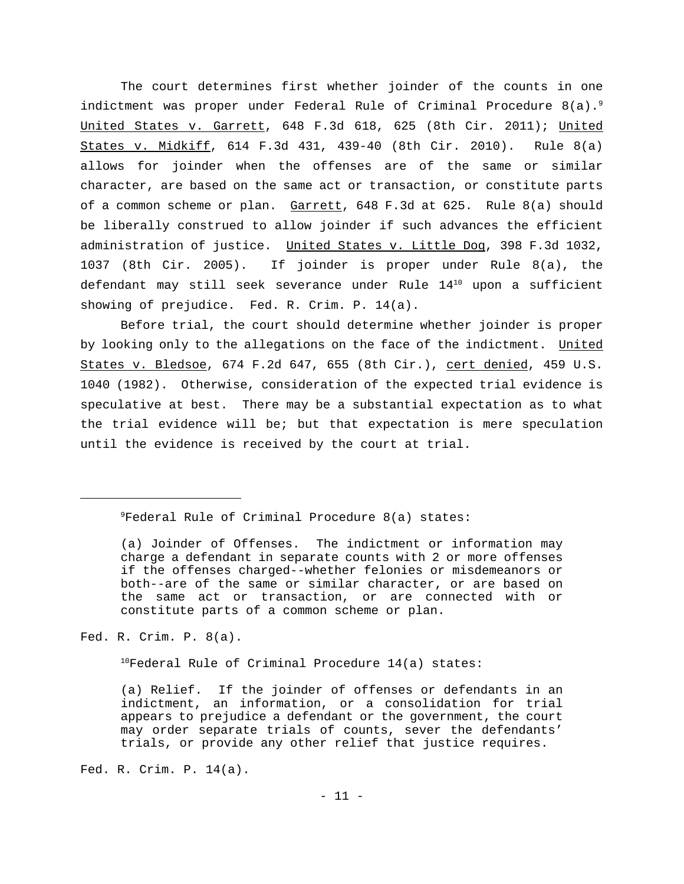The court determines first whether joinder of the counts in one indictment was proper under Federal Rule of Criminal Procedure 8(a).<sup>9</sup> United States v. Garrett, 648 F.3d 618, 625 (8th Cir. 2011); United States v. Midkiff, 614 F.3d 431, 439-40 (8th Cir. 2010). Rule 8(a) allows for joinder when the offenses are of the same or similar character, are based on the same act or transaction, or constitute parts of a common scheme or plan. Garrett, 648 F.3d at 625. Rule 8(a) should be liberally construed to allow joinder if such advances the efficient administration of justice. United States v. Little Dog, 398 F.3d 1032, 1037 (8th Cir. 2005). If joinder is proper under Rule 8(a), the defendant may still seek severance under Rule 14<sup>10</sup> upon a sufficient showing of prejudice. Fed. R. Crim. P. 14(a).

Before trial, the court should determine whether joinder is proper by looking only to the allegations on the face of the indictment. United States v. Bledsoe, 674 F.2d 647, 655 (8th Cir.), cert denied, 459 U.S. 1040 (1982). Otherwise, consideration of the expected trial evidence is speculative at best. There may be a substantial expectation as to what the trial evidence will be; but that expectation is mere speculation until the evidence is received by the court at trial.

 ${}^{9}$ Federal Rule of Criminal Procedure 8(a) states:

Fed. R. Crim. P. 8(a).

 $10$ Federal Rule of Criminal Procedure 14(a) states:

(a) Relief. If the joinder of offenses or defendants in an indictment, an information, or a consolidation for trial appears to prejudice a defendant or the government, the court may order separate trials of counts, sever the defendants' trials, or provide any other relief that justice requires.

Fed. R. Crim. P. 14(a).

<sup>(</sup>a) Joinder of Offenses. The indictment or information may charge a defendant in separate counts with 2 or more offenses if the offenses charged--whether felonies or misdemeanors or both--are of the same or similar character, or are based on the same act or transaction, or are connected with or constitute parts of a common scheme or plan.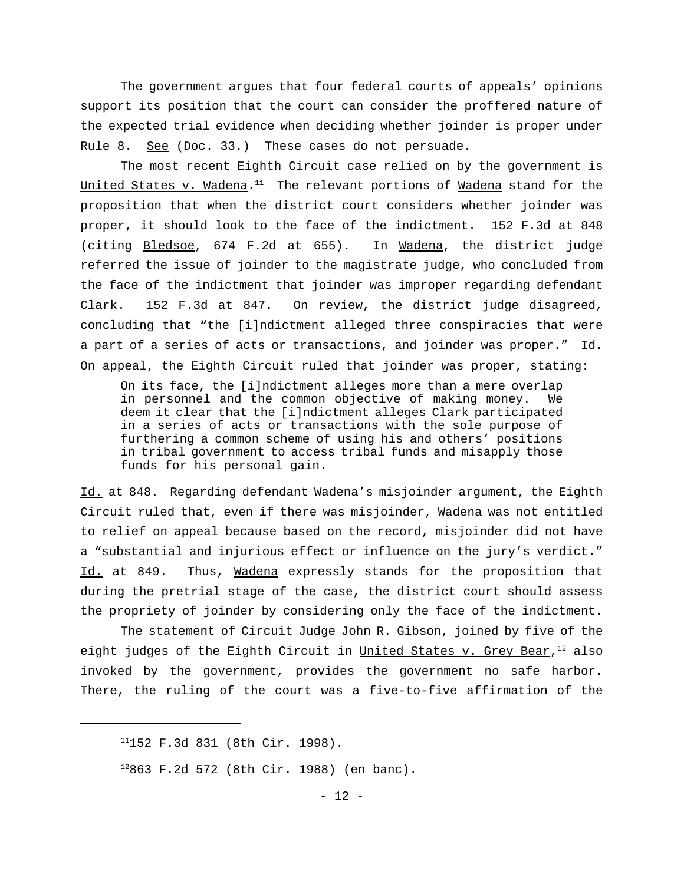The government argues that four federal courts of appeals' opinions support its position that the court can consider the proffered nature of the expected trial evidence when deciding whether joinder is proper under Rule 8. See (Doc. 33.) These cases do not persuade.

The most recent Eighth Circuit case relied on by the government is United States v. Wadena.<sup>11</sup> The relevant portions of <u>Wadena</u> stand for the proposition that when the district court considers whether joinder was proper, it should look to the face of the indictment. 152 F.3d at 848 (citing Bledsoe, 674 F.2d at 655). In Wadena, the district judge referred the issue of joinder to the magistrate judge, who concluded from the face of the indictment that joinder was improper regarding defendant Clark. 152 F.3d at 847. On review, the district judge disagreed, concluding that "the [i]ndictment alleged three conspiracies that were a part of a series of acts or transactions, and joinder was proper." Id. On appeal, the Eighth Circuit ruled that joinder was proper, stating:

On its face, the [i]ndictment alleges more than a mere overlap in personnel and the common objective of making money. We deem it clear that the [i]ndictment alleges Clark participated in a series of acts or transactions with the sole purpose of furthering a common scheme of using his and others' positions in tribal government to access tribal funds and misapply those funds for his personal gain.

Id. at 848. Regarding defendant Wadena's misjoinder argument, the Eighth Circuit ruled that, even if there was misjoinder, Wadena was not entitled to relief on appeal because based on the record, misjoinder did not have a "substantial and injurious effect or influence on the jury's verdict." Id. at 849. Thus, Wadena expressly stands for the proposition that during the pretrial stage of the case, the district court should assess the propriety of joinder by considering only the face of the indictment.

The statement of Circuit Judge John R. Gibson, joined by five of the eight judges of the Eighth Circuit in <u>United States v. Grey Bear</u>,<sup>12</sup> also invoked by the government, provides the government no safe harbor. There, the ruling of the court was a five-to-five affirmation of the

 $11152$  F.3d 831 (8th Cir. 1998).

 $12863$  F.2d 572 (8th Cir. 1988) (en banc).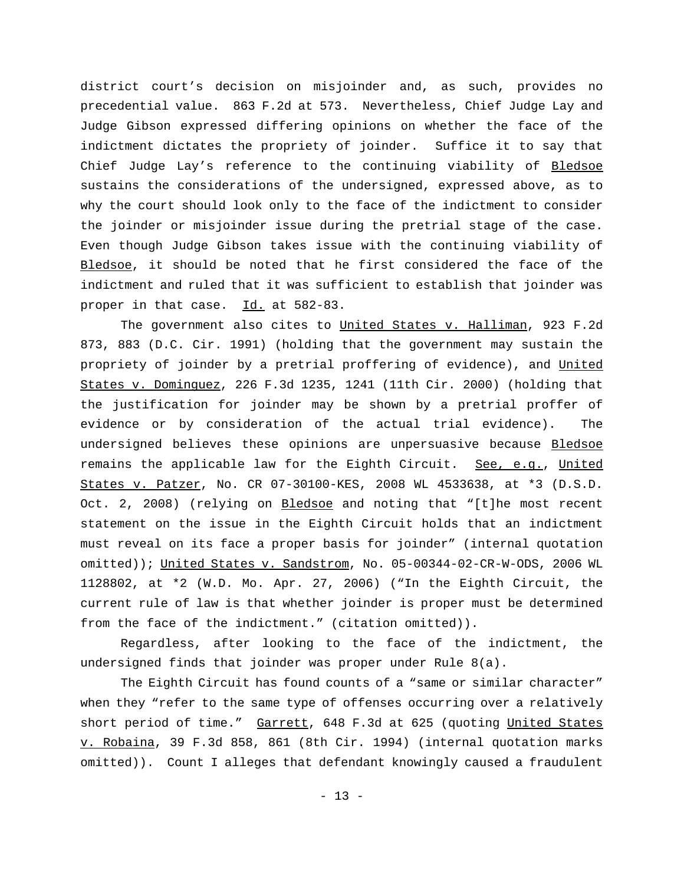district court's decision on misjoinder and, as such, provides no precedential value. 863 F.2d at 573. Nevertheless, Chief Judge Lay and Judge Gibson expressed differing opinions on whether the face of the indictment dictates the propriety of joinder. Suffice it to say that Chief Judge Lay's reference to the continuing viability of Bledsoe sustains the considerations of the undersigned, expressed above, as to why the court should look only to the face of the indictment to consider the joinder or misjoinder issue during the pretrial stage of the case. Even though Judge Gibson takes issue with the continuing viability of Bledsoe, it should be noted that he first considered the face of the indictment and ruled that it was sufficient to establish that joinder was proper in that case. Id. at 582-83.

The government also cites to United States v. Halliman, 923 F.2d 873, 883 (D.C. Cir. 1991) (holding that the government may sustain the propriety of joinder by a pretrial proffering of evidence), and United States v. Dominguez, 226 F.3d 1235, 1241 (11th Cir. 2000) (holding that the justification for joinder may be shown by a pretrial proffer of evidence or by consideration of the actual trial evidence). The undersigned believes these opinions are unpersuasive because Bledsoe remains the applicable law for the Eighth Circuit. See, e.g., United States v. Patzer, No. CR 07-30100-KES, 2008 WL 4533638, at \*3 (D.S.D. Oct. 2, 2008) (relying on Bledsoe and noting that "[t]he most recent statement on the issue in the Eighth Circuit holds that an indictment must reveal on its face a proper basis for joinder" (internal quotation omitted)); United States v. Sandstrom, No. 05-00344-02-CR-W-ODS, 2006 WL 1128802, at \*2 (W.D. Mo. Apr. 27, 2006) ("In the Eighth Circuit, the current rule of law is that whether joinder is proper must be determined from the face of the indictment." (citation omitted)).

Regardless, after looking to the face of the indictment, the undersigned finds that joinder was proper under Rule 8(a).

The Eighth Circuit has found counts of a "same or similar character" when they "refer to the same type of offenses occurring over a relatively short period of time." Garrett, 648 F.3d at 625 (quoting United States v. Robaina, 39 F.3d 858, 861 (8th Cir. 1994) (internal quotation marks omitted)). Count I alleges that defendant knowingly caused a fraudulent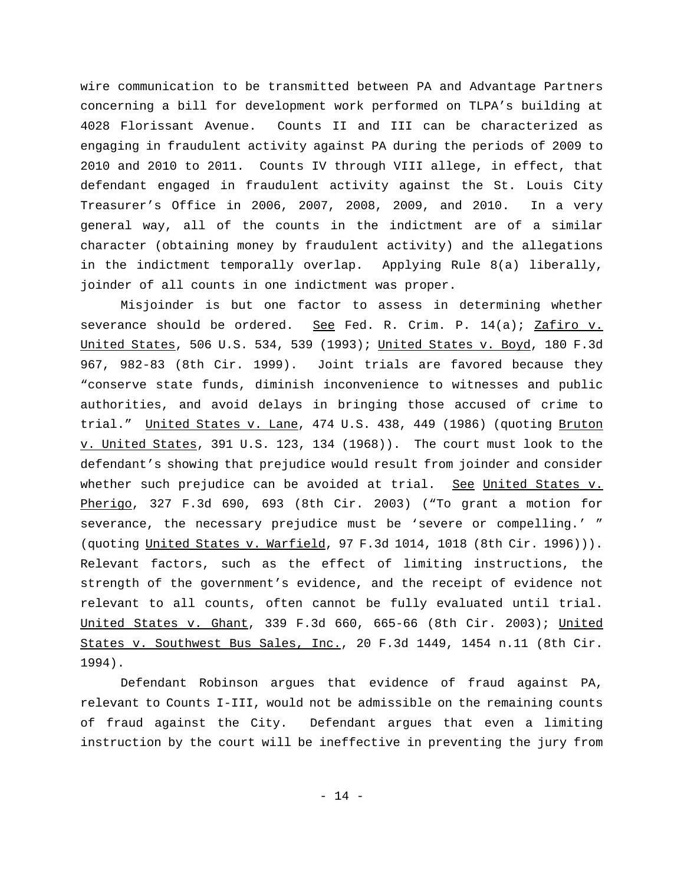wire communication to be transmitted between PA and Advantage Partners concerning a bill for development work performed on TLPA's building at 4028 Florissant Avenue. Counts II and III can be characterized as engaging in fraudulent activity against PA during the periods of 2009 to 2010 and 2010 to 2011. Counts IV through VIII allege, in effect, that defendant engaged in fraudulent activity against the St. Louis City Treasurer's Office in 2006, 2007, 2008, 2009, and 2010. In a very general way, all of the counts in the indictment are of a similar character (obtaining money by fraudulent activity) and the allegations in the indictment temporally overlap. Applying Rule 8(a) liberally, joinder of all counts in one indictment was proper.

Misjoinder is but one factor to assess in determining whether severance should be ordered. See Fed. R. Crim. P.  $14(a)$ ; Zafiro v. United States, 506 U.S. 534, 539 (1993); United States v. Boyd, 180 F.3d 967, 982-83 (8th Cir. 1999). Joint trials are favored because they "conserve state funds, diminish inconvenience to witnesses and public authorities, and avoid delays in bringing those accused of crime to trial." United States v. Lane, 474 U.S. 438, 449 (1986) (quoting Bruton v. United States, 391 U.S. 123, 134 (1968)). The court must look to the defendant's showing that prejudice would result from joinder and consider whether such prejudice can be avoided at trial. See United States v. Pherigo, 327 F.3d 690, 693 (8th Cir. 2003) ("To grant a motion for severance, the necessary prejudice must be 'severe or compelling.' " (quoting United States v. Warfield, 97 F.3d 1014, 1018 (8th Cir. 1996))). Relevant factors, such as the effect of limiting instructions, the strength of the government's evidence, and the receipt of evidence not relevant to all counts, often cannot be fully evaluated until trial. United States v. Ghant, 339 F.3d 660, 665-66 (8th Cir. 2003); United States v. Southwest Bus Sales, Inc., 20 F.3d 1449, 1454 n.11 (8th Cir. 1994).

Defendant Robinson argues that evidence of fraud against PA, relevant to Counts I-III, would not be admissible on the remaining counts of fraud against the City. Defendant argues that even a limiting instruction by the court will be ineffective in preventing the jury from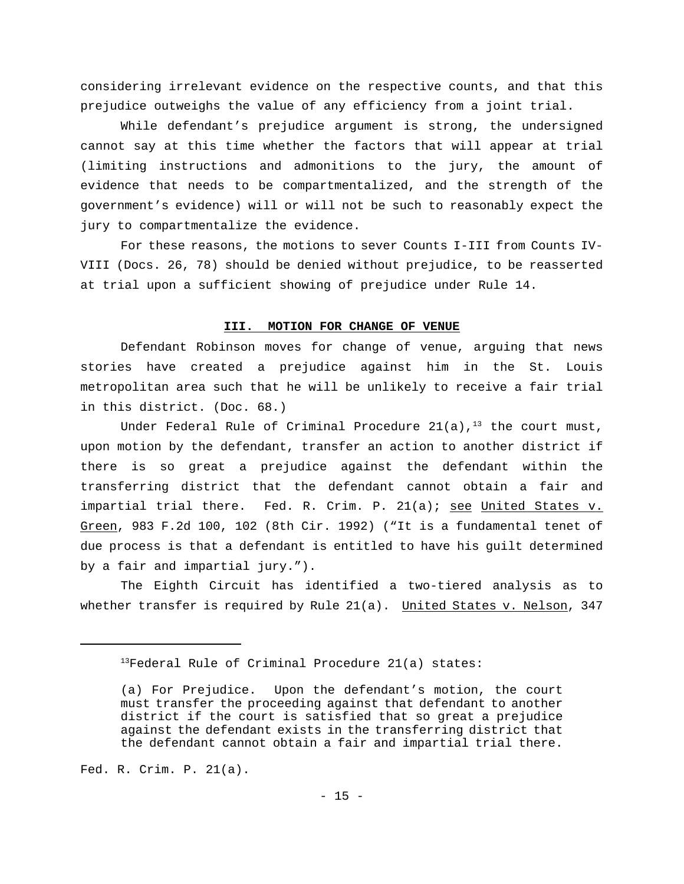considering irrelevant evidence on the respective counts, and that this prejudice outweighs the value of any efficiency from a joint trial.

While defendant's prejudice argument is strong, the undersigned cannot say at this time whether the factors that will appear at trial (limiting instructions and admonitions to the jury, the amount of evidence that needs to be compartmentalized, and the strength of the government's evidence) will or will not be such to reasonably expect the jury to compartmentalize the evidence.

For these reasons, the motions to sever Counts I-III from Counts IV-VIII (Docs. 26, 78) should be denied without prejudice, to be reasserted at trial upon a sufficient showing of prejudice under Rule 14.

### **III. MOTION FOR CHANGE OF VENUE**

Defendant Robinson moves for change of venue, arguing that news stories have created a prejudice against him in the St. Louis metropolitan area such that he will be unlikely to receive a fair trial in this district. (Doc. 68.)

Under Federal Rule of Criminal Procedure 21(a),<sup>13</sup> the court must, upon motion by the defendant, transfer an action to another district if there is so great a prejudice against the defendant within the transferring district that the defendant cannot obtain a fair and impartial trial there. Fed. R. Crim. P. 21(a); see United States v. Green, 983 F.2d 100, 102 (8th Cir. 1992) ("It is a fundamental tenet of due process is that a defendant is entitled to have his guilt determined by a fair and impartial jury.").

The Eighth Circuit has identified a two-tiered analysis as to whether transfer is required by Rule 21(a). United States v. Nelson, 347

Fed. R. Crim. P. 21(a).

 $13$ Federal Rule of Criminal Procedure 21(a) states:

<sup>(</sup>a) For Prejudice. Upon the defendant's motion, the court must transfer the proceeding against that defendant to another district if the court is satisfied that so great a prejudice against the defendant exists in the transferring district that the defendant cannot obtain a fair and impartial trial there.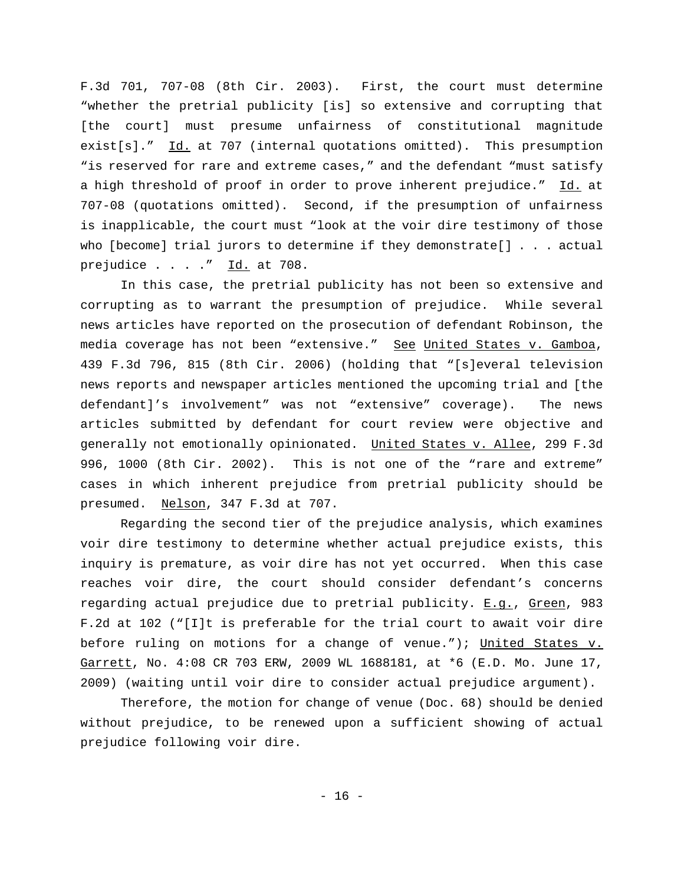F.3d 701, 707-08 (8th Cir. 2003). First, the court must determine "whether the pretrial publicity [is] so extensive and corrupting that [the court] must presume unfairness of constitutional magnitude exist[s]."  $\underline{Id.}$  at 707 (internal quotations omitted). This presumption "is reserved for rare and extreme cases," and the defendant "must satisfy a high threshold of proof in order to prove inherent prejudice." Id. at 707-08 (quotations omitted). Second, if the presumption of unfairness is inapplicable, the court must "look at the voir dire testimony of those who [become] trial jurors to determine if they demonstrate[] . . . actual prejudice  $\ldots$  . . " Id. at 708.

In this case, the pretrial publicity has not been so extensive and corrupting as to warrant the presumption of prejudice. While several news articles have reported on the prosecution of defendant Robinson, the media coverage has not been "extensive." See United States v. Gamboa, 439 F.3d 796, 815 (8th Cir. 2006) (holding that "[s]everal television news reports and newspaper articles mentioned the upcoming trial and [the defendant]'s involvement" was not "extensive" coverage). The news articles submitted by defendant for court review were objective and generally not emotionally opinionated. United States v. Allee, 299 F.3d 996, 1000 (8th Cir. 2002). This is not one of the "rare and extreme" cases in which inherent prejudice from pretrial publicity should be presumed. Nelson, 347 F.3d at 707.

Regarding the second tier of the prejudice analysis, which examines voir dire testimony to determine whether actual prejudice exists, this inquiry is premature, as voir dire has not yet occurred. When this case reaches voir dire, the court should consider defendant's concerns regarding actual prejudice due to pretrial publicity. E.g., Green, 983 F.2d at 102 ("[I]t is preferable for the trial court to await voir dire before ruling on motions for a change of venue."); United States v. Garrett, No. 4:08 CR 703 ERW, 2009 WL 1688181, at \*6 (E.D. Mo. June 17, 2009) (waiting until voir dire to consider actual prejudice argument).

Therefore, the motion for change of venue (Doc. 68) should be denied without prejudice, to be renewed upon a sufficient showing of actual prejudice following voir dire.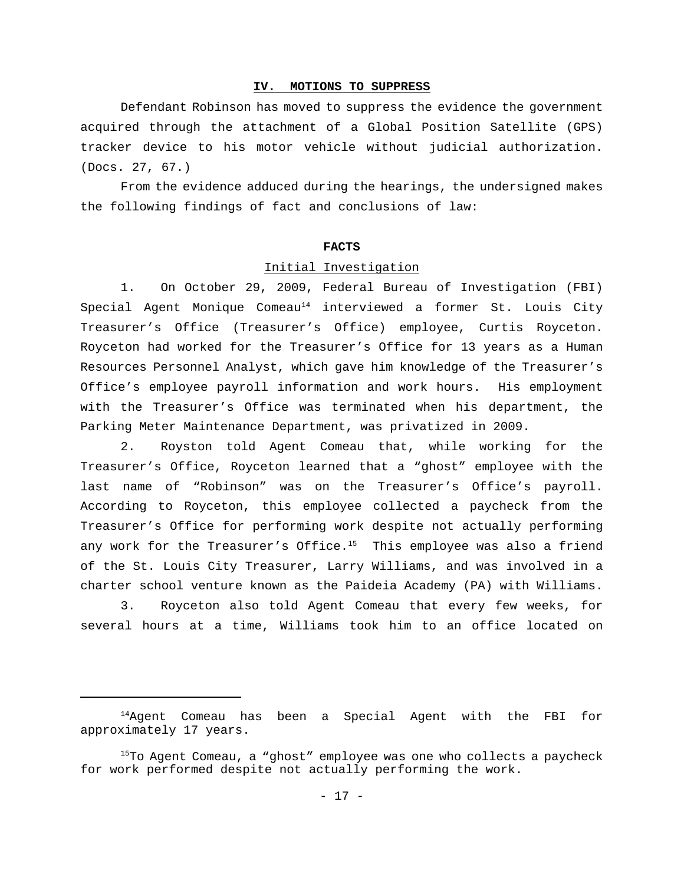## **IV. MOTIONS TO SUPPRESS**

Defendant Robinson has moved to suppress the evidence the government acquired through the attachment of a Global Position Satellite (GPS) tracker device to his motor vehicle without judicial authorization. (Docs. 27, 67.)

From the evidence adduced during the hearings, the undersigned makes the following findings of fact and conclusions of law:

### **FACTS**

#### Initial Investigation

1. On October 29, 2009, Federal Bureau of Investigation (FBI) Special Agent Monique Comeau<sup>14</sup> interviewed a former St. Louis City Treasurer's Office (Treasurer's Office) employee, Curtis Royceton. Royceton had worked for the Treasurer's Office for 13 years as a Human Resources Personnel Analyst, which gave him knowledge of the Treasurer's Office's employee payroll information and work hours. His employment with the Treasurer's Office was terminated when his department, the Parking Meter Maintenance Department, was privatized in 2009.

2. Royston told Agent Comeau that, while working for the Treasurer's Office, Royceton learned that a "ghost" employee with the last name of "Robinson" was on the Treasurer's Office's payroll. According to Royceton, this employee collected a paycheck from the Treasurer's Office for performing work despite not actually performing any work for the Treasurer's Office.<sup>15</sup> This employee was also a friend of the St. Louis City Treasurer, Larry Williams, and was involved in a charter school venture known as the Paideia Academy (PA) with Williams.

3. Royceton also told Agent Comeau that every few weeks, for several hours at a time, Williams took him to an office located on

<sup>&</sup>lt;sup>14</sup>Agent Comeau has been a Special Agent with the FBI for approximately 17 years.

 $15$ To Agent Comeau, a "ghost" employee was one who collects a paycheck for work performed despite not actually performing the work.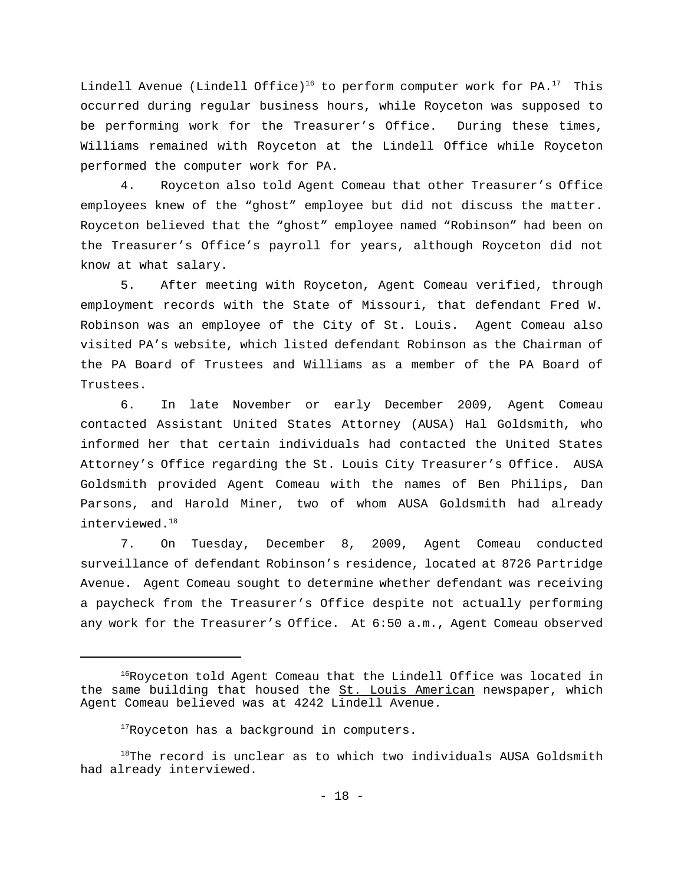Lindell Avenue (Lindell Office)<sup>16</sup> to perform computer work for PA.<sup>17</sup> This occurred during regular business hours, while Royceton was supposed to be performing work for the Treasurer's Office. During these times, Williams remained with Royceton at the Lindell Office while Royceton performed the computer work for PA.

4. Royceton also told Agent Comeau that other Treasurer's Office employees knew of the "ghost" employee but did not discuss the matter. Royceton believed that the "ghost" employee named "Robinson" had been on the Treasurer's Office's payroll for years, although Royceton did not know at what salary.

5. After meeting with Royceton, Agent Comeau verified, through employment records with the State of Missouri, that defendant Fred W. Robinson was an employee of the City of St. Louis. Agent Comeau also visited PA's website, which listed defendant Robinson as the Chairman of the PA Board of Trustees and Williams as a member of the PA Board of Trustees.

6. In late November or early December 2009, Agent Comeau contacted Assistant United States Attorney (AUSA) Hal Goldsmith, who informed her that certain individuals had contacted the United States Attorney's Office regarding the St. Louis City Treasurer's Office. AUSA Goldsmith provided Agent Comeau with the names of Ben Philips, Dan Parsons, and Harold Miner, two of whom AUSA Goldsmith had already interviewed.<sup>18</sup>

7. On Tuesday, December 8, 2009, Agent Comeau conducted surveillance of defendant Robinson's residence, located at 8726 Partridge Avenue. Agent Comeau sought to determine whether defendant was receiving a paycheck from the Treasurer's Office despite not actually performing any work for the Treasurer's Office. At 6:50 a.m., Agent Comeau observed

 $16Royceton$  told Agent Comeau that the Lindell Office was located in the same building that housed the St. Louis American newspaper, which Agent Comeau believed was at 4242 Lindell Avenue.

<sup>&</sup>lt;sup>17</sup>Royceton has a background in computers.

 $18$ The record is unclear as to which two individuals AUSA Goldsmith had already interviewed.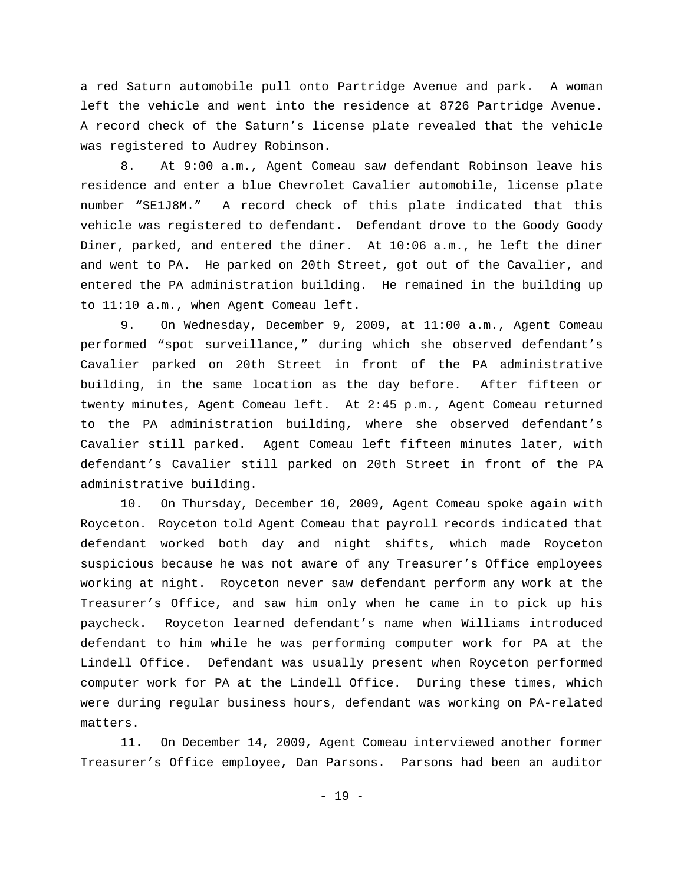a red Saturn automobile pull onto Partridge Avenue and park. A woman left the vehicle and went into the residence at 8726 Partridge Avenue. A record check of the Saturn's license plate revealed that the vehicle was registered to Audrey Robinson.

8. At 9:00 a.m., Agent Comeau saw defendant Robinson leave his residence and enter a blue Chevrolet Cavalier automobile, license plate number "SE1J8M." A record check of this plate indicated that this vehicle was registered to defendant. Defendant drove to the Goody Goody Diner, parked, and entered the diner. At 10:06 a.m., he left the diner and went to PA. He parked on 20th Street, got out of the Cavalier, and entered the PA administration building. He remained in the building up to 11:10 a.m., when Agent Comeau left.

9. On Wednesday, December 9, 2009, at 11:00 a.m., Agent Comeau performed "spot surveillance," during which she observed defendant's Cavalier parked on 20th Street in front of the PA administrative building, in the same location as the day before. After fifteen or twenty minutes, Agent Comeau left. At 2:45 p.m., Agent Comeau returned to the PA administration building, where she observed defendant's Cavalier still parked. Agent Comeau left fifteen minutes later, with defendant's Cavalier still parked on 20th Street in front of the PA administrative building.

10. On Thursday, December 10, 2009, Agent Comeau spoke again with Royceton. Royceton told Agent Comeau that payroll records indicated that defendant worked both day and night shifts, which made Royceton suspicious because he was not aware of any Treasurer's Office employees working at night. Royceton never saw defendant perform any work at the Treasurer's Office, and saw him only when he came in to pick up his paycheck. Royceton learned defendant's name when Williams introduced defendant to him while he was performing computer work for PA at the Lindell Office. Defendant was usually present when Royceton performed computer work for PA at the Lindell Office. During these times, which were during regular business hours, defendant was working on PA-related matters.

11. On December 14, 2009, Agent Comeau interviewed another former Treasurer's Office employee, Dan Parsons. Parsons had been an auditor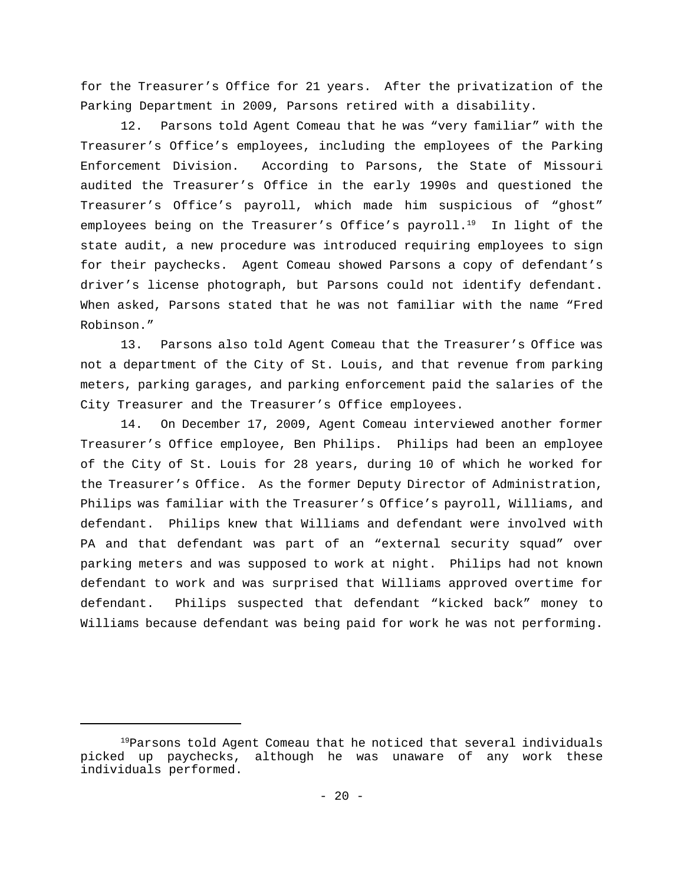for the Treasurer's Office for 21 years. After the privatization of the Parking Department in 2009, Parsons retired with a disability.

12. Parsons told Agent Comeau that he was "very familiar" with the Treasurer's Office's employees, including the employees of the Parking Enforcement Division. According to Parsons, the State of Missouri audited the Treasurer's Office in the early 1990s and questioned the Treasurer's Office's payroll, which made him suspicious of "ghost" employees being on the Treasurer's Office's payroll.<sup>19</sup> In light of the state audit, a new procedure was introduced requiring employees to sign for their paychecks. Agent Comeau showed Parsons a copy of defendant's driver's license photograph, but Parsons could not identify defendant. When asked, Parsons stated that he was not familiar with the name "Fred Robinson."

13. Parsons also told Agent Comeau that the Treasurer's Office was not a department of the City of St. Louis, and that revenue from parking meters, parking garages, and parking enforcement paid the salaries of the City Treasurer and the Treasurer's Office employees.

14. On December 17, 2009, Agent Comeau interviewed another former Treasurer's Office employee, Ben Philips. Philips had been an employee of the City of St. Louis for 28 years, during 10 of which he worked for the Treasurer's Office. As the former Deputy Director of Administration, Philips was familiar with the Treasurer's Office's payroll, Williams, and defendant. Philips knew that Williams and defendant were involved with PA and that defendant was part of an "external security squad" over parking meters and was supposed to work at night. Philips had not known defendant to work and was surprised that Williams approved overtime for defendant. Philips suspected that defendant "kicked back" money to Williams because defendant was being paid for work he was not performing.

 $19$ Parsons told Agent Comeau that he noticed that several individuals picked up paychecks, although he was unaware of any work these individuals performed.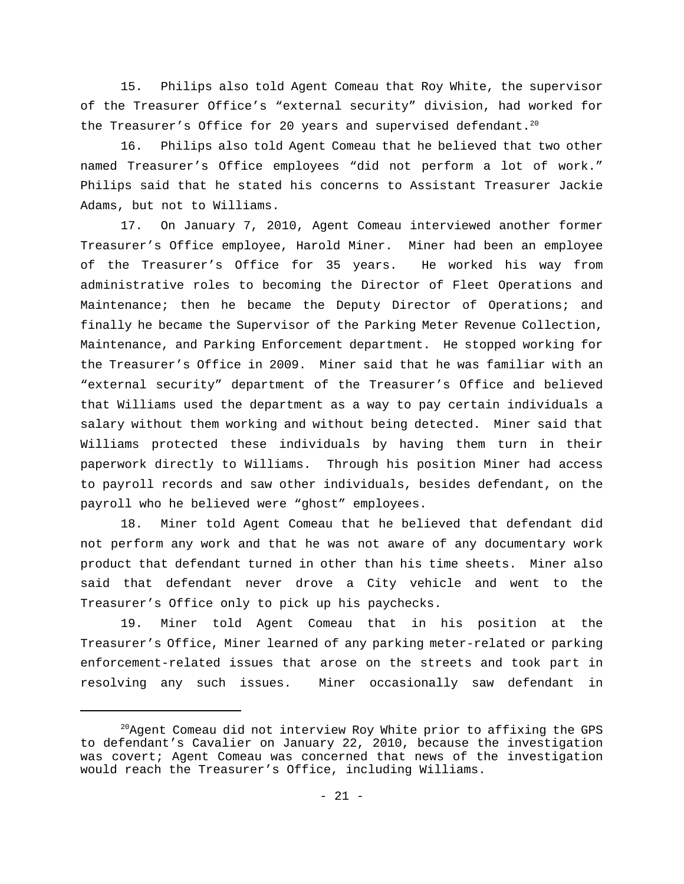15. Philips also told Agent Comeau that Roy White, the supervisor of the Treasurer Office's "external security" division, had worked for the Treasurer's Office for 20 years and supervised defendant.<sup>20</sup>

16. Philips also told Agent Comeau that he believed that two other named Treasurer's Office employees "did not perform a lot of work." Philips said that he stated his concerns to Assistant Treasurer Jackie Adams, but not to Williams.

17. On January 7, 2010, Agent Comeau interviewed another former Treasurer's Office employee, Harold Miner. Miner had been an employee of the Treasurer's Office for 35 years. He worked his way from administrative roles to becoming the Director of Fleet Operations and Maintenance; then he became the Deputy Director of Operations; and finally he became the Supervisor of the Parking Meter Revenue Collection, Maintenance, and Parking Enforcement department. He stopped working for the Treasurer's Office in 2009. Miner said that he was familiar with an "external security" department of the Treasurer's Office and believed that Williams used the department as a way to pay certain individuals a salary without them working and without being detected. Miner said that Williams protected these individuals by having them turn in their paperwork directly to Williams. Through his position Miner had access to payroll records and saw other individuals, besides defendant, on the payroll who he believed were "ghost" employees.

18. Miner told Agent Comeau that he believed that defendant did not perform any work and that he was not aware of any documentary work product that defendant turned in other than his time sheets. Miner also said that defendant never drove a City vehicle and went to the Treasurer's Office only to pick up his paychecks.

19. Miner told Agent Comeau that in his position at the Treasurer's Office, Miner learned of any parking meter-related or parking enforcement-related issues that arose on the streets and took part in resolving any such issues. Miner occasionally saw defendant in

 $^{20}$ Agent Comeau did not interview Roy White prior to affixing the GPS to defendant's Cavalier on January 22, 2010, because the investigation was covert; Agent Comeau was concerned that news of the investigation would reach the Treasurer's Office, including Williams.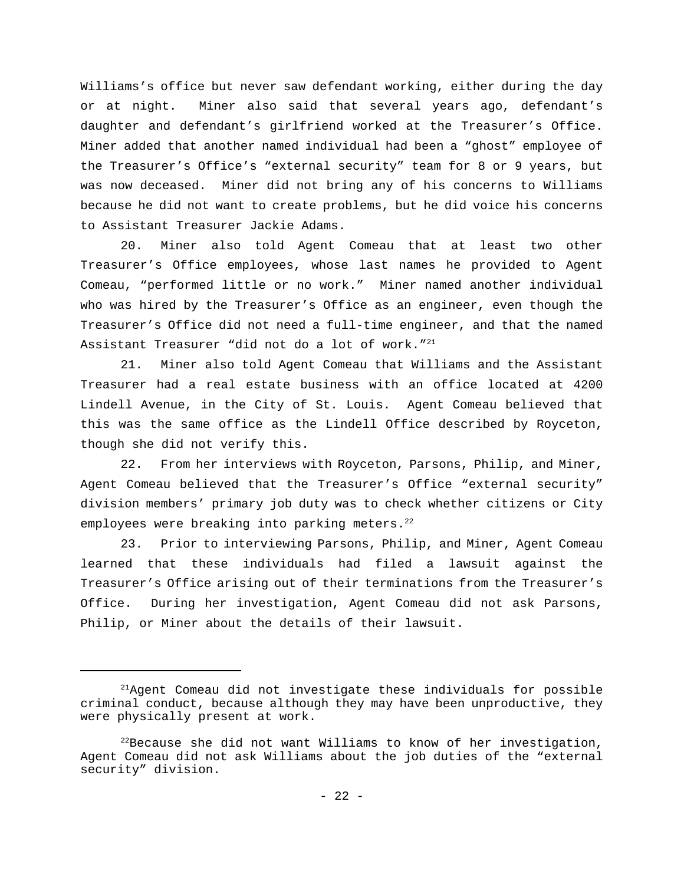Williams's office but never saw defendant working, either during the day or at night. Miner also said that several years ago, defendant's daughter and defendant's girlfriend worked at the Treasurer's Office. Miner added that another named individual had been a "ghost" employee of the Treasurer's Office's "external security" team for 8 or 9 years, but was now deceased. Miner did not bring any of his concerns to Williams because he did not want to create problems, but he did voice his concerns to Assistant Treasurer Jackie Adams.

20. Miner also told Agent Comeau that at least two other Treasurer's Office employees, whose last names he provided to Agent Comeau, "performed little or no work." Miner named another individual who was hired by the Treasurer's Office as an engineer, even though the Treasurer's Office did not need a full-time engineer, and that the named Assistant Treasurer "did not do a lot of work."<sup>21</sup>

21. Miner also told Agent Comeau that Williams and the Assistant Treasurer had a real estate business with an office located at 4200 Lindell Avenue, in the City of St. Louis. Agent Comeau believed that this was the same office as the Lindell Office described by Royceton, though she did not verify this.

22. From her interviews with Royceton, Parsons, Philip, and Miner, Agent Comeau believed that the Treasurer's Office "external security" division members' primary job duty was to check whether citizens or City employees were breaking into parking meters. $22$ 

23. Prior to interviewing Parsons, Philip, and Miner, Agent Comeau learned that these individuals had filed a lawsuit against the Treasurer's Office arising out of their terminations from the Treasurer's Office. During her investigation, Agent Comeau did not ask Parsons, Philip, or Miner about the details of their lawsuit.

 $21$ Agent Comeau did not investigate these individuals for possible criminal conduct, because although they may have been unproductive, they were physically present at work.

 $^{22}$ Because she did not want Williams to know of her investigation, Agent Comeau did not ask Williams about the job duties of the "external security" division.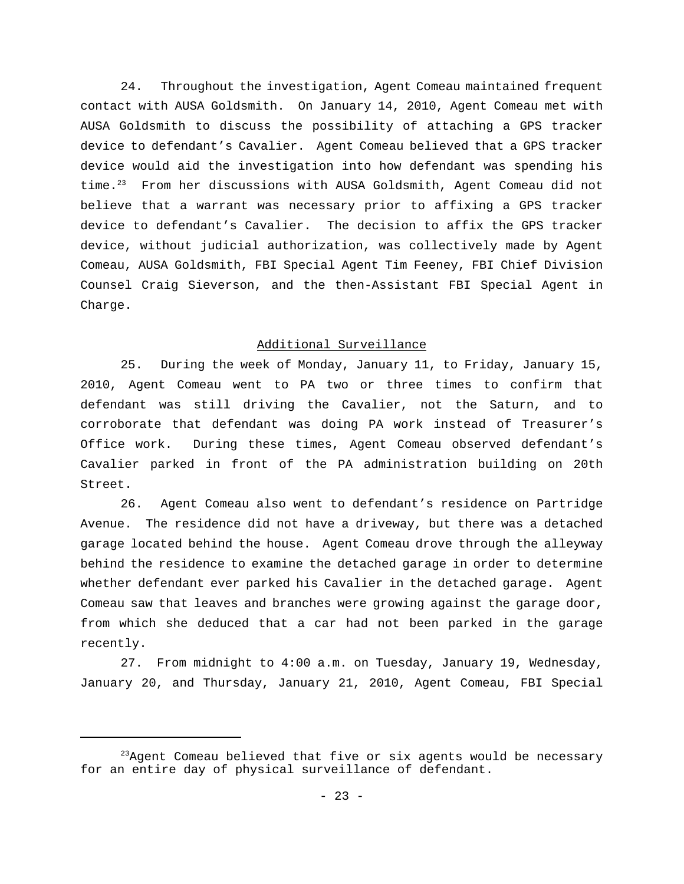24. Throughout the investigation, Agent Comeau maintained frequent contact with AUSA Goldsmith. On January 14, 2010, Agent Comeau met with AUSA Goldsmith to discuss the possibility of attaching a GPS tracker device to defendant's Cavalier. Agent Comeau believed that a GPS tracker device would aid the investigation into how defendant was spending his time.<sup>23</sup> From her discussions with AUSA Goldsmith, Agent Comeau did not believe that a warrant was necessary prior to affixing a GPS tracker device to defendant's Cavalier. The decision to affix the GPS tracker device, without judicial authorization, was collectively made by Agent Comeau, AUSA Goldsmith, FBI Special Agent Tim Feeney, FBI Chief Division Counsel Craig Sieverson, and the then-Assistant FBI Special Agent in Charge.

## Additional Surveillance

25. During the week of Monday, January 11, to Friday, January 15, 2010, Agent Comeau went to PA two or three times to confirm that defendant was still driving the Cavalier, not the Saturn, and to corroborate that defendant was doing PA work instead of Treasurer's Office work. During these times, Agent Comeau observed defendant's Cavalier parked in front of the PA administration building on 20th Street.

26. Agent Comeau also went to defendant's residence on Partridge Avenue. The residence did not have a driveway, but there was a detached garage located behind the house. Agent Comeau drove through the alleyway behind the residence to examine the detached garage in order to determine whether defendant ever parked his Cavalier in the detached garage. Agent Comeau saw that leaves and branches were growing against the garage door, from which she deduced that a car had not been parked in the garage recently.

27. From midnight to 4:00 a.m. on Tuesday, January 19, Wednesday, January 20, and Thursday, January 21, 2010, Agent Comeau, FBI Special

 $^{23}$ Agent Comeau believed that five or six agents would be necessary for an entire day of physical surveillance of defendant.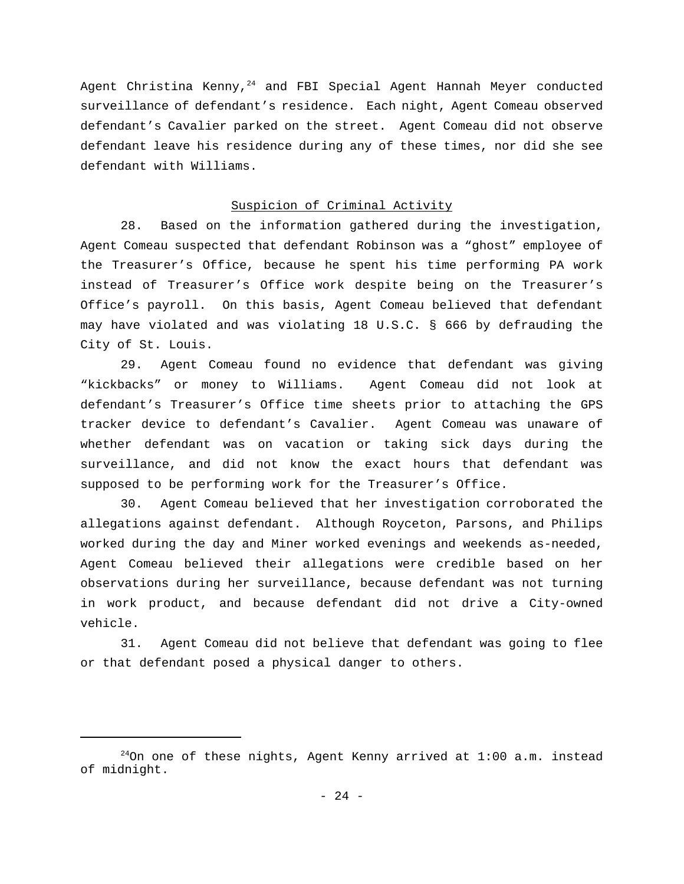Agent Christina Kenny,<sup>24</sup> and FBI Special Agent Hannah Meyer conducted surveillance of defendant's residence. Each night, Agent Comeau observed defendant's Cavalier parked on the street. Agent Comeau did not observe defendant leave his residence during any of these times, nor did she see defendant with Williams.

## Suspicion of Criminal Activity

28. Based on the information gathered during the investigation, Agent Comeau suspected that defendant Robinson was a "ghost" employee of the Treasurer's Office, because he spent his time performing PA work instead of Treasurer's Office work despite being on the Treasurer's Office's payroll. On this basis, Agent Comeau believed that defendant may have violated and was violating 18 U.S.C. § 666 by defrauding the City of St. Louis.

29. Agent Comeau found no evidence that defendant was giving "kickbacks" or money to Williams. Agent Comeau did not look at defendant's Treasurer's Office time sheets prior to attaching the GPS tracker device to defendant's Cavalier. Agent Comeau was unaware of whether defendant was on vacation or taking sick days during the surveillance, and did not know the exact hours that defendant was supposed to be performing work for the Treasurer's Office.

30. Agent Comeau believed that her investigation corroborated the allegations against defendant. Although Royceton, Parsons, and Philips worked during the day and Miner worked evenings and weekends as-needed, Agent Comeau believed their allegations were credible based on her observations during her surveillance, because defendant was not turning in work product, and because defendant did not drive a City-owned vehicle.

31. Agent Comeau did not believe that defendant was going to flee or that defendant posed a physical danger to others.

 $^{24}$ On one of these nights, Agent Kenny arrived at 1:00 a.m. instead of midnight.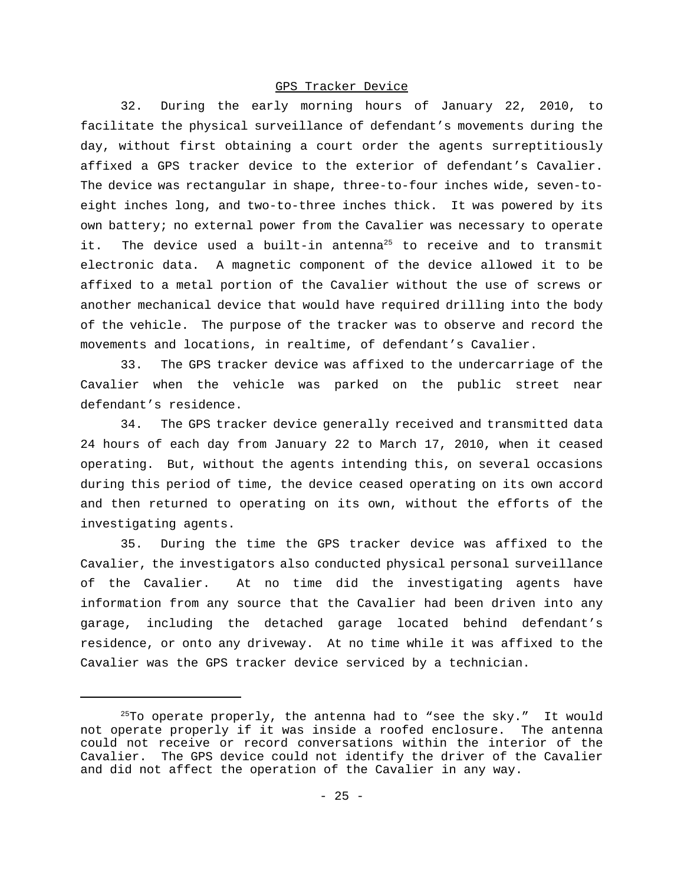### GPS Tracker Device

32. During the early morning hours of January 22, 2010, to facilitate the physical surveillance of defendant's movements during the day, without first obtaining a court order the agents surreptitiously affixed a GPS tracker device to the exterior of defendant's Cavalier. The device was rectangular in shape, three-to-four inches wide, seven-toeight inches long, and two-to-three inches thick. It was powered by its own battery; no external power from the Cavalier was necessary to operate it. The device used a built-in antenna<sup>25</sup> to receive and to transmit electronic data. A magnetic component of the device allowed it to be affixed to a metal portion of the Cavalier without the use of screws or another mechanical device that would have required drilling into the body of the vehicle. The purpose of the tracker was to observe and record the movements and locations, in realtime, of defendant's Cavalier.

33. The GPS tracker device was affixed to the undercarriage of the Cavalier when the vehicle was parked on the public street near defendant's residence.

34. The GPS tracker device generally received and transmitted data 24 hours of each day from January 22 to March 17, 2010, when it ceased operating. But, without the agents intending this, on several occasions during this period of time, the device ceased operating on its own accord and then returned to operating on its own, without the efforts of the investigating agents.

35. During the time the GPS tracker device was affixed to the Cavalier, the investigators also conducted physical personal surveillance of the Cavalier. At no time did the investigating agents have information from any source that the Cavalier had been driven into any garage, including the detached garage located behind defendant's residence, or onto any driveway. At no time while it was affixed to the Cavalier was the GPS tracker device serviced by a technician.

 $^{25}$ To operate properly, the antenna had to "see the sky." It would not operate properly if it was inside a roofed enclosure. The antenna could not receive or record conversations within the interior of the Cavalier. The GPS device could not identify the driver of the Cavalier and did not affect the operation of the Cavalier in any way.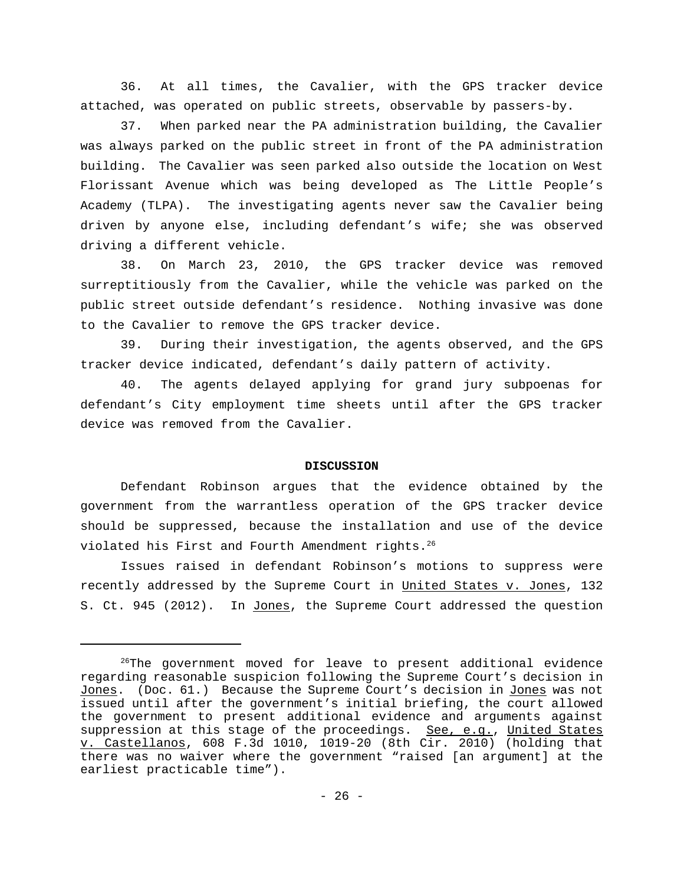36. At all times, the Cavalier, with the GPS tracker device attached, was operated on public streets, observable by passers-by.

37. When parked near the PA administration building, the Cavalier was always parked on the public street in front of the PA administration building. The Cavalier was seen parked also outside the location on West Florissant Avenue which was being developed as The Little People's Academy (TLPA). The investigating agents never saw the Cavalier being driven by anyone else, including defendant's wife; she was observed driving a different vehicle.

38. On March 23, 2010, the GPS tracker device was removed surreptitiously from the Cavalier, while the vehicle was parked on the public street outside defendant's residence. Nothing invasive was done to the Cavalier to remove the GPS tracker device.

39. During their investigation, the agents observed, and the GPS tracker device indicated, defendant's daily pattern of activity.

40. The agents delayed applying for grand jury subpoenas for defendant's City employment time sheets until after the GPS tracker device was removed from the Cavalier.

### **DISCUSSION**

Defendant Robinson argues that the evidence obtained by the government from the warrantless operation of the GPS tracker device should be suppressed, because the installation and use of the device violated his First and Fourth Amendment rights.<sup>26</sup>

Issues raised in defendant Robinson's motions to suppress were recently addressed by the Supreme Court in United States v. Jones, 132 S. Ct. 945 (2012). In Jones, the Supreme Court addressed the question

 $26$ The government moved for leave to present additional evidence regarding reasonable suspicion following the Supreme Court's decision in Jones. (Doc. 61.) Because the Supreme Court's decision in Jones was not issued until after the government's initial briefing, the court allowed the government to present additional evidence and arguments against suppression at this stage of the proceedings. See, e.g., United States v. Castellanos, 608 F.3d 1010, 1019-20 (8th Cir. 2010) (holding that there was no waiver where the government "raised [an argument] at the earliest practicable time").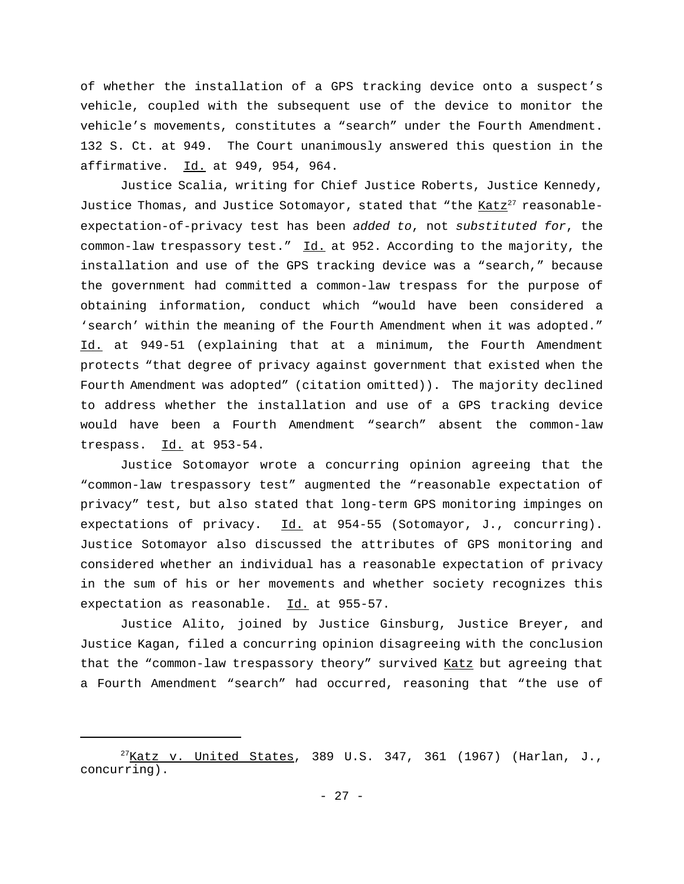of whether the installation of a GPS tracking device onto a suspect's vehicle, coupled with the subsequent use of the device to monitor the vehicle's movements, constitutes a "search" under the Fourth Amendment. 132 S. Ct. at 949. The Court unanimously answered this question in the affirmative. Id. at 949, 954, 964.

Justice Scalia, writing for Chief Justice Roberts, Justice Kennedy, Justice Thomas, and Justice Sotomayor, stated that "the Katz<sup>27</sup> reasonableexpectation-of-privacy test has been *added to*, not *substituted for*, the common-law trespassory test." Id. at 952. According to the majority, the installation and use of the GPS tracking device was a "search," because the government had committed a common-law trespass for the purpose of obtaining information, conduct which "would have been considered a 'search' within the meaning of the Fourth Amendment when it was adopted." Id. at 949-51 (explaining that at a minimum, the Fourth Amendment protects "that degree of privacy against government that existed when the Fourth Amendment was adopted" (citation omitted)). The majority declined to address whether the installation and use of a GPS tracking device would have been a Fourth Amendment "search" absent the common-law trespass.  $Id.$  at 953-54.

Justice Sotomayor wrote a concurring opinion agreeing that the "common-law trespassory test" augmented the "reasonable expectation of privacy" test, but also stated that long-term GPS monitoring impinges on expectations of privacy.  $Id.$  at 954-55 (Sotomayor, J., concurring). Justice Sotomayor also discussed the attributes of GPS monitoring and considered whether an individual has a reasonable expectation of privacy in the sum of his or her movements and whether society recognizes this expectation as reasonable. Id. at 955-57.

Justice Alito, joined by Justice Ginsburg, Justice Breyer, and Justice Kagan, filed a concurring opinion disagreeing with the conclusion that the "common-law trespassory theory" survived Katz but agreeing that a Fourth Amendment "search" had occurred, reasoning that "the use of

 $^{27}$ Katz v. United States, 389 U.S. 347, 361 (1967) (Harlan, J., concurring).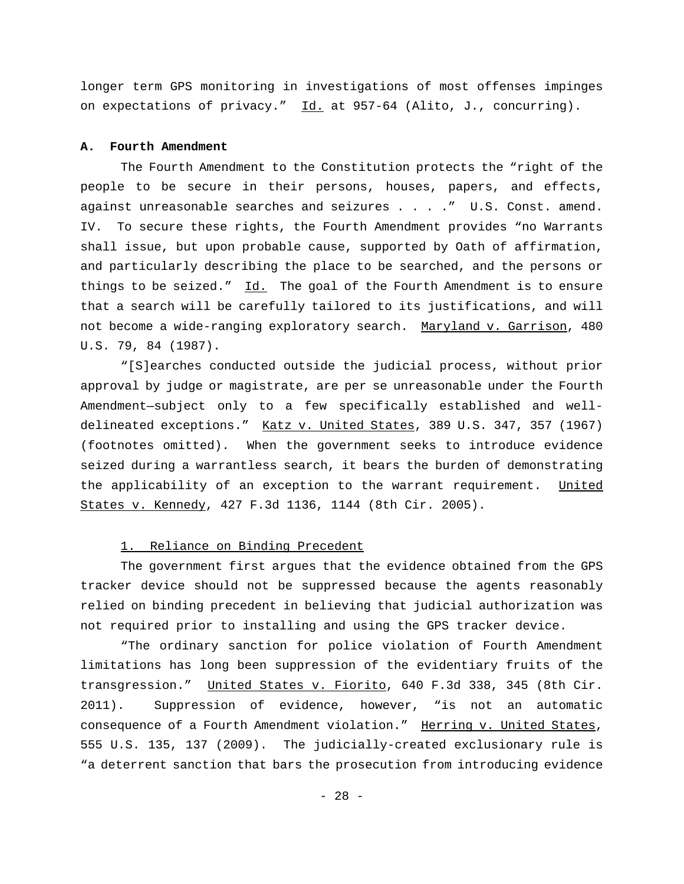longer term GPS monitoring in investigations of most offenses impinges on expectations of privacy." Id. at 957-64 (Alito, J., concurring).

### **A. Fourth Amendment**

The Fourth Amendment to the Constitution protects the "right of the people to be secure in their persons, houses, papers, and effects, against unreasonable searches and seizures . . . ." U.S. Const. amend. IV. To secure these rights, the Fourth Amendment provides "no Warrants shall issue, but upon probable cause, supported by Oath of affirmation, and particularly describing the place to be searched, and the persons or things to be seized."  $Id.$  The goal of the Fourth Amendment is to ensure that a search will be carefully tailored to its justifications, and will not become a wide-ranging exploratory search. Maryland v. Garrison, 480 U.S. 79, 84 (1987).

"[S]earches conducted outside the judicial process, without prior approval by judge or magistrate, are per se unreasonable under the Fourth Amendment—subject only to a few specifically established and welldelineated exceptions." Katz v. United States, 389 U.S. 347, 357 (1967) (footnotes omitted). When the government seeks to introduce evidence seized during a warrantless search, it bears the burden of demonstrating the applicability of an exception to the warrant requirement. United States v. Kennedy, 427 F.3d 1136, 1144 (8th Cir. 2005).

## 1. Reliance on Binding Precedent

The government first argues that the evidence obtained from the GPS tracker device should not be suppressed because the agents reasonably relied on binding precedent in believing that judicial authorization was not required prior to installing and using the GPS tracker device.

"The ordinary sanction for police violation of Fourth Amendment limitations has long been suppression of the evidentiary fruits of the transgression." United States v. Fiorito, 640 F.3d 338, 345 (8th Cir. 2011). Suppression of evidence, however, "is not an automatic consequence of a Fourth Amendment violation." Herring v. United States, 555 U.S. 135, 137 (2009). The judicially-created exclusionary rule is "a deterrent sanction that bars the prosecution from introducing evidence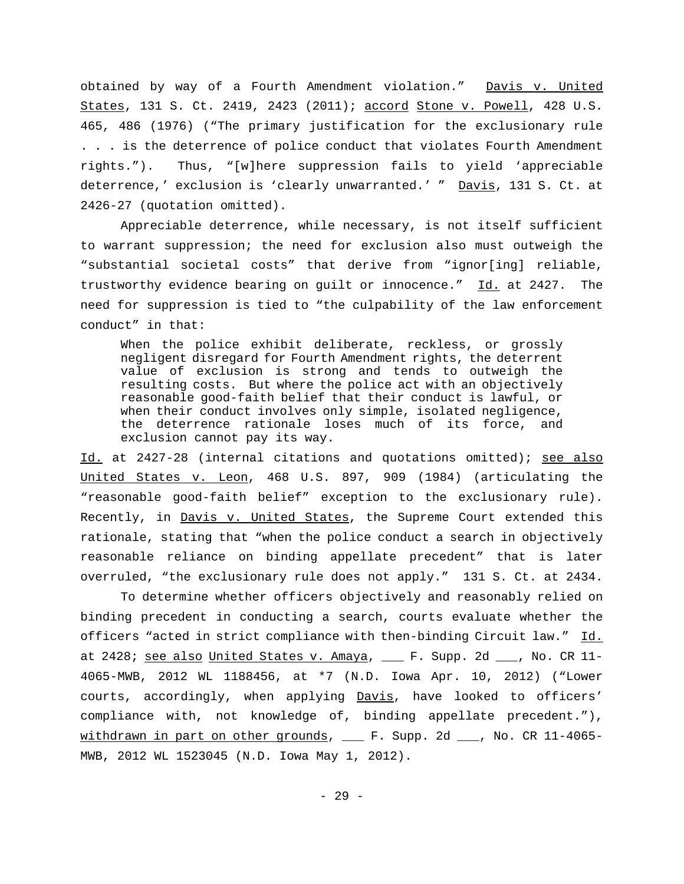obtained by way of a Fourth Amendment violation." Davis v. United States, 131 S. Ct. 2419, 2423 (2011); accord Stone v. Powell, 428 U.S. 465, 486 (1976) ("The primary justification for the exclusionary rule . . . is the deterrence of police conduct that violates Fourth Amendment rights."). Thus, "[w]here suppression fails to yield 'appreciable deterrence,' exclusion is 'clearly unwarranted.' " Davis, 131 S. Ct. at 2426-27 (quotation omitted).

Appreciable deterrence, while necessary, is not itself sufficient to warrant suppression; the need for exclusion also must outweigh the "substantial societal costs" that derive from "ignor[ing] reliable, trustworthy evidence bearing on guilt or innocence." Id. at 2427. The need for suppression is tied to "the culpability of the law enforcement conduct" in that:

When the police exhibit deliberate, reckless, or grossly negligent disregard for Fourth Amendment rights, the deterrent value of exclusion is strong and tends to outweigh the resulting costs. But where the police act with an objectively reasonable good-faith belief that their conduct is lawful, or when their conduct involves only simple, isolated negligence, the deterrence rationale loses much of its force, and exclusion cannot pay its way.

Id. at 2427-28 (internal citations and quotations omitted); see also United States v. Leon, 468 U.S. 897, 909 (1984) (articulating the "reasonable good-faith belief" exception to the exclusionary rule). Recently, in Davis v. United States, the Supreme Court extended this rationale, stating that "when the police conduct a search in objectively reasonable reliance on binding appellate precedent" that is later overruled, "the exclusionary rule does not apply." 131 S. Ct. at 2434.

To determine whether officers objectively and reasonably relied on binding precedent in conducting a search, courts evaluate whether the officers "acted in strict compliance with then-binding Circuit law." Id. at 2428; see also United States v. Amaya, \_\_\_ F. Supp. 2d \_\_\_, No. CR 11-4065-MWB, 2012 WL 1188456, at \*7 (N.D. Iowa Apr. 10, 2012) ("Lower courts, accordingly, when applying Davis, have looked to officers' compliance with, not knowledge of, binding appellate precedent."), withdrawn in part on other grounds, \_\_\_ F. Supp. 2d \_\_\_, No. CR 11-4065-MWB, 2012 WL 1523045 (N.D. Iowa May 1, 2012).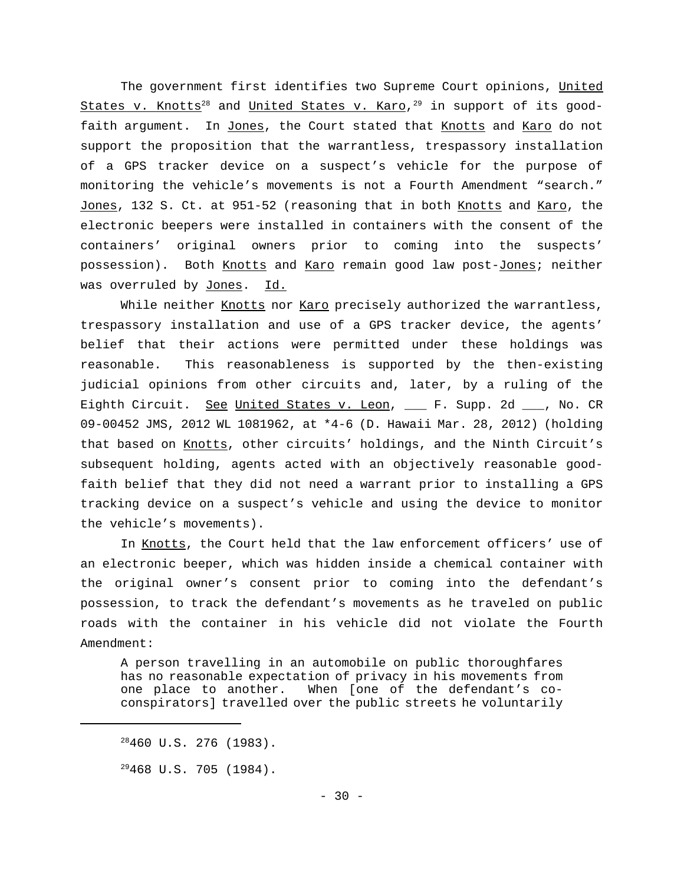The government first identifies two Supreme Court opinions, United <u>States v. Knotts $^{28}$ </u> and <u>United States v. Karo</u>, $^{29}$  in support of its goodfaith argument. In Jones, the Court stated that Knotts and Karo do not support the proposition that the warrantless, trespassory installation of a GPS tracker device on a suspect's vehicle for the purpose of monitoring the vehicle's movements is not a Fourth Amendment "search." Jones, 132 S. Ct. at 951-52 (reasoning that in both Knotts and Karo, the electronic beepers were installed in containers with the consent of the containers' original owners prior to coming into the suspects' possession). Both Knotts and Karo remain good law post-Jones; neither was overruled by Jones. Id.

While neither Knotts nor Karo precisely authorized the warrantless, trespassory installation and use of a GPS tracker device, the agents' belief that their actions were permitted under these holdings was reasonable. This reasonableness is supported by the then-existing judicial opinions from other circuits and, later, by a ruling of the Eighth Circuit. See United States v. Leon, \_\_\_ F. Supp. 2d \_\_\_, No. CR 09-00452 JMS, 2012 WL 1081962, at \*4-6 (D. Hawaii Mar. 28, 2012) (holding that based on Knotts, other circuits' holdings, and the Ninth Circuit's subsequent holding, agents acted with an objectively reasonable goodfaith belief that they did not need a warrant prior to installing a GPS tracking device on a suspect's vehicle and using the device to monitor the vehicle's movements).

In Knotts, the Court held that the law enforcement officers' use of an electronic beeper, which was hidden inside a chemical container with the original owner's consent prior to coming into the defendant's possession, to track the defendant's movements as he traveled on public roads with the container in his vehicle did not violate the Fourth Amendment:

A person travelling in an automobile on public thoroughfares has no reasonable expectation of privacy in his movements from one place to another. When [one of the defendant's coconspirators] travelled over the public streets he voluntarily

 $29468$  U.S. 705 (1984).

 $28460$  U.S. 276 (1983).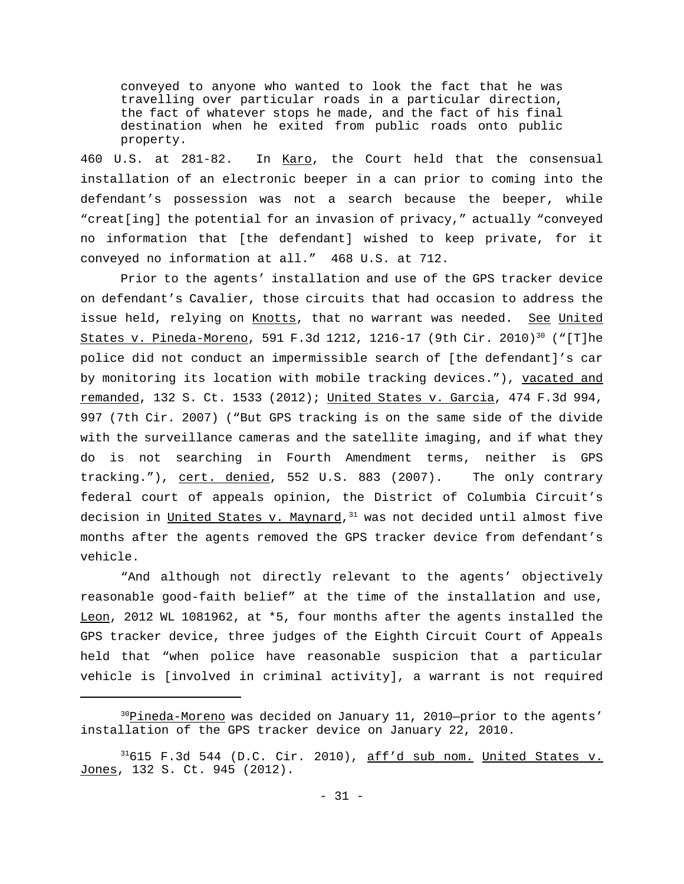conveyed to anyone who wanted to look the fact that he was travelling over particular roads in a particular direction, the fact of whatever stops he made, and the fact of his final destination when he exited from public roads onto public property.

460 U.S. at 281-82. In Karo, the Court held that the consensual installation of an electronic beeper in a can prior to coming into the defendant's possession was not a search because the beeper, while "creat[ing] the potential for an invasion of privacy," actually "conveyed no information that [the defendant] wished to keep private, for it conveyed no information at all." 468 U.S. at 712.

Prior to the agents' installation and use of the GPS tracker device on defendant's Cavalier, those circuits that had occasion to address the issue held, relying on Knotts, that no warrant was needed. See United States v. Pineda-Moreno, 591 F.3d 1212, 1216-17 (9th Cir. 2010)<sup>30</sup> ("[T]he police did not conduct an impermissible search of [the defendant]'s car by monitoring its location with mobile tracking devices."), vacated and remanded, 132 S. Ct. 1533 (2012); United States v. Garcia, 474 F.3d 994, 997 (7th Cir. 2007) ("But GPS tracking is on the same side of the divide with the surveillance cameras and the satellite imaging, and if what they do is not searching in Fourth Amendment terms, neither is GPS tracking."), cert. denied, 552 U.S. 883 (2007). The only contrary federal court of appeals opinion, the District of Columbia Circuit's decision in <u>United States v. Maynard</u>,<sup>31</sup> was not decided until almost five months after the agents removed the GPS tracker device from defendant's vehicle.

"And although not directly relevant to the agents' objectively reasonable good-faith belief" at the time of the installation and use, Leon, 2012 WL 1081962, at \*5, four months after the agents installed the GPS tracker device, three judges of the Eighth Circuit Court of Appeals held that "when police have reasonable suspicion that a particular vehicle is [involved in criminal activity], a warrant is not required

 $^{30}$ Pineda-Moreno was decided on January 11, 2010—prior to the agents' installation of the GPS tracker device on January 22, 2010.

 $31615$  F.3d 544 (D.C. Cir. 2010), aff'd sub nom. United States v. Jones, 132 S. Ct. 945 (2012).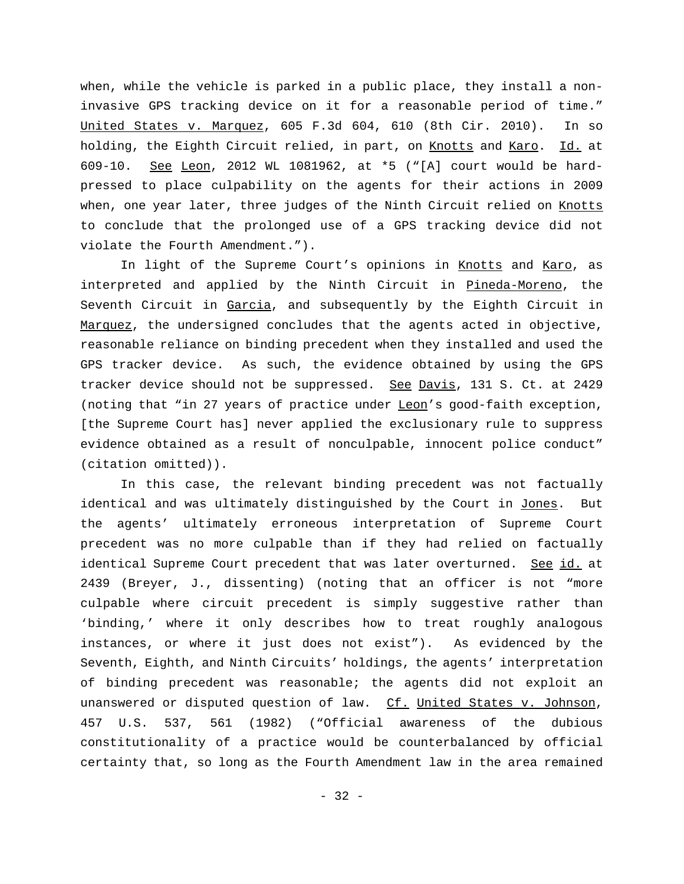when, while the vehicle is parked in a public place, they install a noninvasive GPS tracking device on it for a reasonable period of time." United States v. Marquez, 605 F.3d 604, 610 (8th Cir. 2010). In so holding, the Eighth Circuit relied, in part, on Knotts and Karo. Id. at 609-10. See Leon, 2012 WL 1081962, at \*5 ("[A] court would be hardpressed to place culpability on the agents for their actions in 2009 when, one year later, three judges of the Ninth Circuit relied on Knotts to conclude that the prolonged use of a GPS tracking device did not violate the Fourth Amendment.").

In light of the Supreme Court's opinions in Knotts and Karo, as interpreted and applied by the Ninth Circuit in Pineda-Moreno, the Seventh Circuit in Garcia, and subsequently by the Eighth Circuit in Marquez, the undersigned concludes that the agents acted in objective, reasonable reliance on binding precedent when they installed and used the GPS tracker device. As such, the evidence obtained by using the GPS tracker device should not be suppressed. See Davis, 131 S. Ct. at 2429 (noting that "in 27 years of practice under Leon's good-faith exception, [the Supreme Court has] never applied the exclusionary rule to suppress evidence obtained as a result of nonculpable, innocent police conduct" (citation omitted)).

In this case, the relevant binding precedent was not factually identical and was ultimately distinguished by the Court in Jones. But the agents' ultimately erroneous interpretation of Supreme Court precedent was no more culpable than if they had relied on factually identical Supreme Court precedent that was later overturned. See id. at 2439 (Breyer, J., dissenting) (noting that an officer is not "more culpable where circuit precedent is simply suggestive rather than 'binding,' where it only describes how to treat roughly analogous instances, or where it just does not exist"). As evidenced by the Seventh, Eighth, and Ninth Circuits' holdings, the agents' interpretation of binding precedent was reasonable; the agents did not exploit an unanswered or disputed question of law. Cf. United States v. Johnson, 457 U.S. 537, 561 (1982) ("Official awareness of the dubious constitutionality of a practice would be counterbalanced by official certainty that, so long as the Fourth Amendment law in the area remained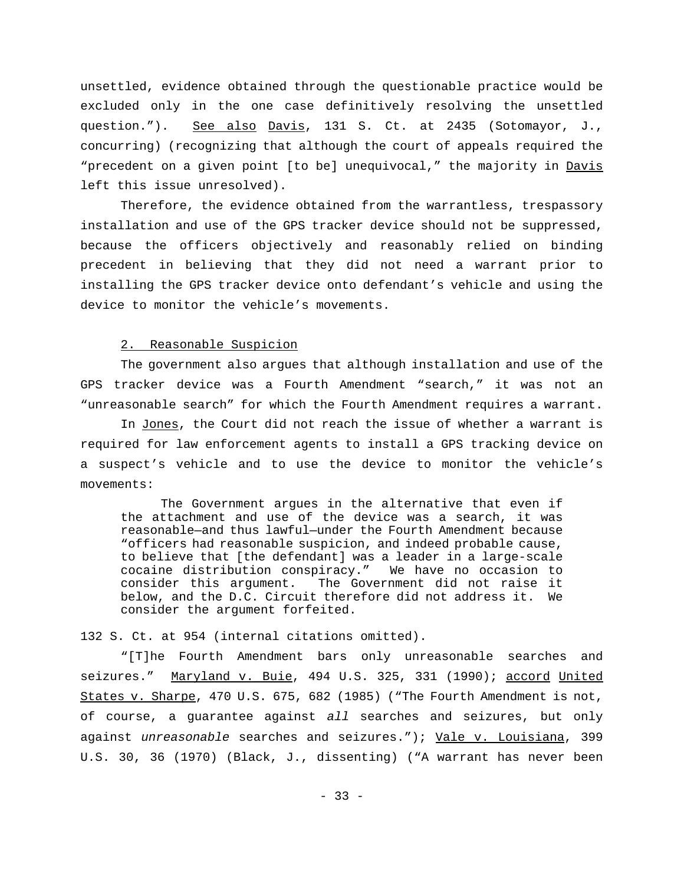unsettled, evidence obtained through the questionable practice would be excluded only in the one case definitively resolving the unsettled question."). See also Davis, 131 S. Ct. at 2435 (Sotomayor, J., concurring) (recognizing that although the court of appeals required the "precedent on a given point [to be] unequivocal," the majority in Davis left this issue unresolved).

Therefore, the evidence obtained from the warrantless, trespassory installation and use of the GPS tracker device should not be suppressed, because the officers objectively and reasonably relied on binding precedent in believing that they did not need a warrant prior to installing the GPS tracker device onto defendant's vehicle and using the device to monitor the vehicle's movements.

## 2. Reasonable Suspicion

The government also argues that although installation and use of the GPS tracker device was a Fourth Amendment "search," it was not an "unreasonable search" for which the Fourth Amendment requires a warrant.

In Jones, the Court did not reach the issue of whether a warrant is required for law enforcement agents to install a GPS tracking device on a suspect's vehicle and to use the device to monitor the vehicle's movements:

The Government argues in the alternative that even if the attachment and use of the device was a search, it was reasonable—and thus lawful—under the Fourth Amendment because "officers had reasonable suspicion, and indeed probable cause, to believe that [the defendant] was a leader in a large-scale cocaine distribution conspiracy." We have no occasion to consider this argument. The Government did not raise it below, and the D.C. Circuit therefore did not address it. We consider the argument forfeited.

132 S. Ct. at 954 (internal citations omitted).

"[T]he Fourth Amendment bars only unreasonable searches and seizures." Maryland v. Buie, 494 U.S. 325, 331 (1990); accord United States v. Sharpe, 470 U.S. 675, 682 (1985) ("The Fourth Amendment is not, of course, a guarantee against *all* searches and seizures, but only against *unreasonable* searches and seizures."); Vale v. Louisiana, 399 U.S. 30, 36 (1970) (Black, J., dissenting) ("A warrant has never been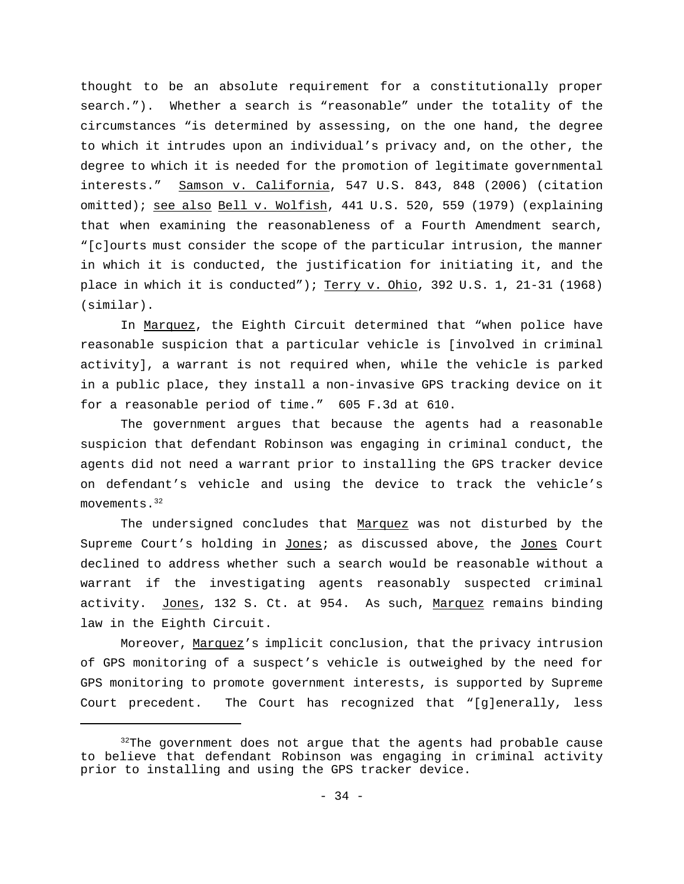thought to be an absolute requirement for a constitutionally proper search."). Whether a search is "reasonable" under the totality of the circumstances "is determined by assessing, on the one hand, the degree to which it intrudes upon an individual's privacy and, on the other, the degree to which it is needed for the promotion of legitimate governmental interests." Samson v. California, 547 U.S. 843, 848 (2006) (citation omitted); see also Bell v. Wolfish, 441 U.S. 520, 559 (1979) (explaining that when examining the reasonableness of a Fourth Amendment search, "[c]ourts must consider the scope of the particular intrusion, the manner in which it is conducted, the justification for initiating it, and the place in which it is conducted"); Terry v. Ohio, 392 U.S. 1, 21-31 (1968) (similar).

In Marquez, the Eighth Circuit determined that "when police have reasonable suspicion that a particular vehicle is [involved in criminal activity], a warrant is not required when, while the vehicle is parked in a public place, they install a non-invasive GPS tracking device on it for a reasonable period of time." 605 F.3d at 610.

The government argues that because the agents had a reasonable suspicion that defendant Robinson was engaging in criminal conduct, the agents did not need a warrant prior to installing the GPS tracker device on defendant's vehicle and using the device to track the vehicle's movements.<sup>32</sup>

The undersigned concludes that Marquez was not disturbed by the Supreme Court's holding in Jones; as discussed above, the Jones Court declined to address whether such a search would be reasonable without a warrant if the investigating agents reasonably suspected criminal activity. Jones, 132 S. Ct. at 954. As such, Marquez remains binding law in the Eighth Circuit.

Moreover, Marquez's implicit conclusion, that the privacy intrusion of GPS monitoring of a suspect's vehicle is outweighed by the need for GPS monitoring to promote government interests, is supported by Supreme Court precedent. The Court has recognized that "[g]enerally, less

 $32$ The government does not argue that the agents had probable cause to believe that defendant Robinson was engaging in criminal activity prior to installing and using the GPS tracker device.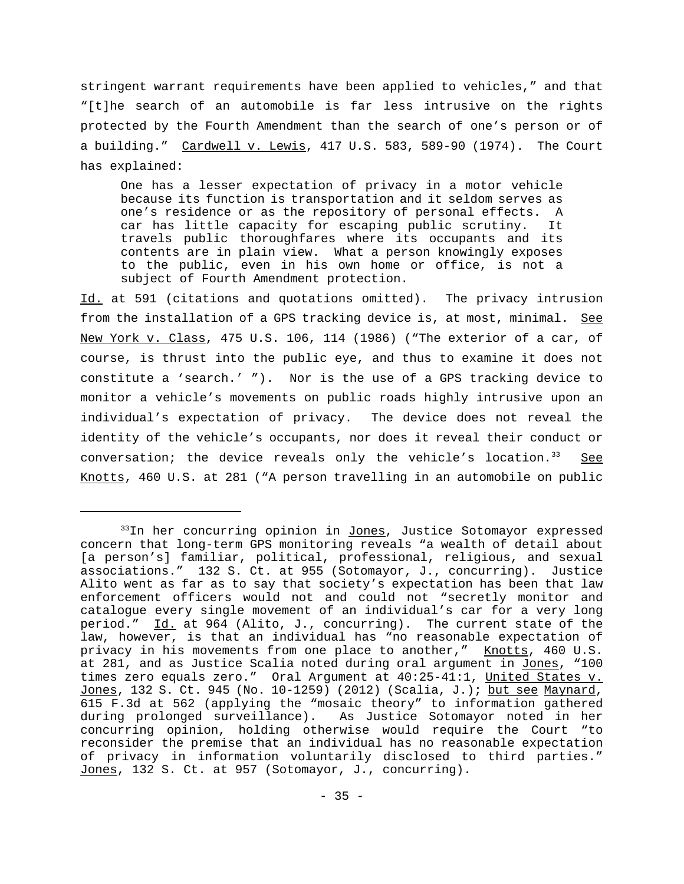stringent warrant requirements have been applied to vehicles," and that "[t]he search of an automobile is far less intrusive on the rights protected by the Fourth Amendment than the search of one's person or of a building." Cardwell v. Lewis, 417 U.S. 583, 589-90 (1974). The Court has explained:

One has a lesser expectation of privacy in a motor vehicle because its function is transportation and it seldom serves as one's residence or as the repository of personal effects. A car has little capacity for escaping public scrutiny. It travels public thoroughfares where its occupants and its contents are in plain view. What a person knowingly exposes to the public, even in his own home or office, is not a subject of Fourth Amendment protection.

Id. at 591 (citations and quotations omitted). The privacy intrusion from the installation of a GPS tracking device is, at most, minimal. See New York v. Class, 475 U.S. 106, 114 (1986) ("The exterior of a car, of course, is thrust into the public eye, and thus to examine it does not constitute a 'search.' "). Nor is the use of a GPS tracking device to monitor a vehicle's movements on public roads highly intrusive upon an individual's expectation of privacy. The device does not reveal the identity of the vehicle's occupants, nor does it reveal their conduct or conversation; the device reveals only the vehicle's location. $33$  See Knotts, 460 U.S. at 281 ("A person travelling in an automobile on public

<sup>&</sup>lt;sup>33</sup>In her concurring opinion in Jones, Justice Sotomayor expressed concern that long-term GPS monitoring reveals "a wealth of detail about [a person's] familiar, political, professional, religious, and sexual associations." 132 S. Ct. at 955 (Sotomayor, J., concurring). Justice Alito went as far as to say that society's expectation has been that law enforcement officers would not and could not "secretly monitor and catalogue every single movement of an individual's car for a very long period." Id. at 964 (Alito, J., concurring). The current state of the law, however, is that an individual has "no reasonable expectation of privacy in his movements from one place to another," Knotts, 460 U.S. at 281, and as Justice Scalia noted during oral argument in Jones, "100 times zero equals zero." Oral Argument at 40:25-41:1, United States v. Jones, 132 S. Ct. 945 (No. 10-1259) (2012) (Scalia, J.); but see Maynard, 615 F.3d at 562 (applying the "mosaic theory" to information gathered during prolonged surveillance). As Justice Sotomayor noted in her concurring opinion, holding otherwise would require the Court "to reconsider the premise that an individual has no reasonable expectation of privacy in information voluntarily disclosed to third parties." Jones, 132 S. Ct. at 957 (Sotomayor, J., concurring).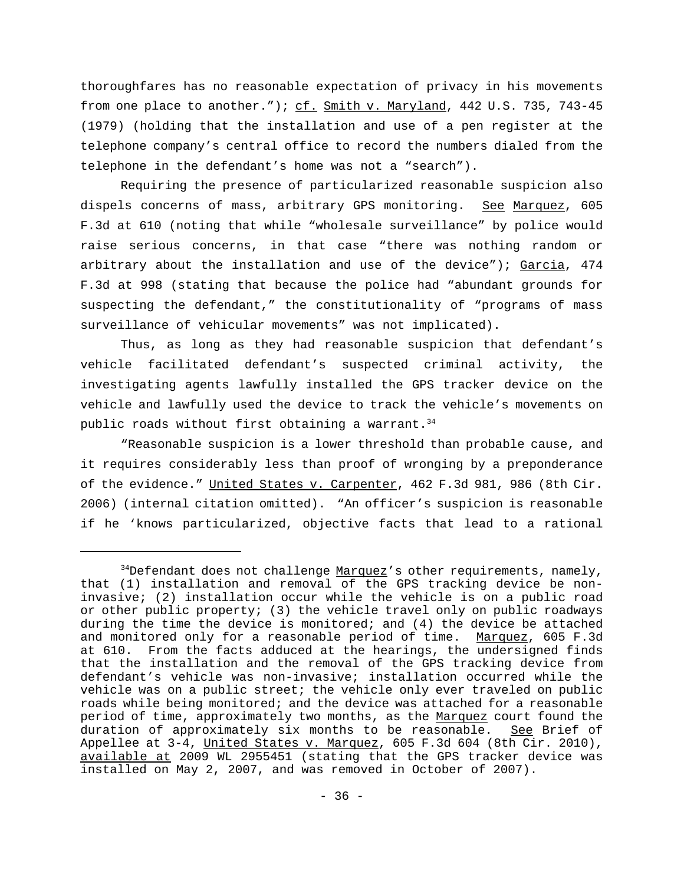thoroughfares has no reasonable expectation of privacy in his movements from one place to another."); cf. Smith v. Maryland, 442 U.S. 735, 743-45 (1979) (holding that the installation and use of a pen register at the telephone company's central office to record the numbers dialed from the telephone in the defendant's home was not a "search").

Requiring the presence of particularized reasonable suspicion also dispels concerns of mass, arbitrary GPS monitoring. See Marquez, 605 F.3d at 610 (noting that while "wholesale surveillance" by police would raise serious concerns, in that case "there was nothing random or arbitrary about the installation and use of the device"); Garcia, 474 F.3d at 998 (stating that because the police had "abundant grounds for suspecting the defendant," the constitutionality of "programs of mass surveillance of vehicular movements" was not implicated).

Thus, as long as they had reasonable suspicion that defendant's vehicle facilitated defendant's suspected criminal activity, the investigating agents lawfully installed the GPS tracker device on the vehicle and lawfully used the device to track the vehicle's movements on public roads without first obtaining a warrant.  $34$ 

"Reasonable suspicion is a lower threshold than probable cause, and it requires considerably less than proof of wronging by a preponderance of the evidence." United States v. Carpenter, 462 F.3d 981, 986 (8th Cir. 2006) (internal citation omitted). "An officer's suspicion is reasonable if he 'knows particularized, objective facts that lead to a rational

 $34$ Defendant does not challenge Marquez's other requirements, namely, that (1) installation and removal of the GPS tracking device be noninvasive; (2) installation occur while the vehicle is on a public road or other public property; (3) the vehicle travel only on public roadways during the time the device is monitored; and (4) the device be attached and monitored only for a reasonable period of time. Marquez, 605 F.3d at 610. From the facts adduced at the hearings, the undersigned finds that the installation and the removal of the GPS tracking device from defendant's vehicle was non-invasive; installation occurred while the vehicle was on a public street; the vehicle only ever traveled on public roads while being monitored; and the device was attached for a reasonable period of time, approximately two months, as the Marquez court found the duration of approximately six months to be reasonable. See Brief of Appellee at 3-4, United States v. Marquez, 605 F.3d 604 (8th Cir. 2010), available at 2009 WL 2955451 (stating that the GPS tracker device was installed on May 2, 2007, and was removed in October of 2007).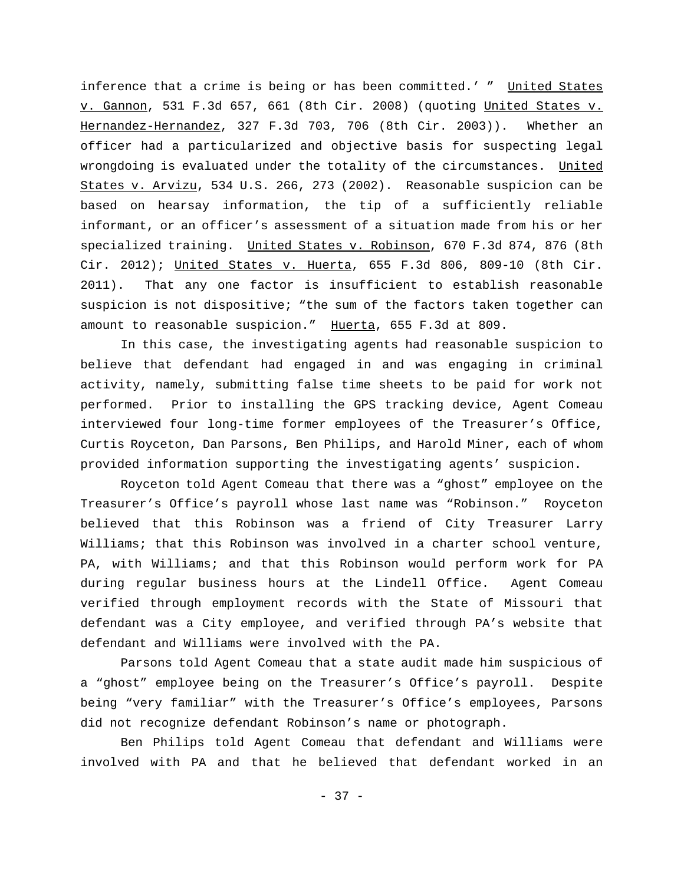inference that a crime is being or has been committed.' " United States v. Gannon, 531 F.3d 657, 661 (8th Cir. 2008) (quoting United States v. Hernandez-Hernandez, 327 F.3d 703, 706 (8th Cir. 2003)). Whether an officer had a particularized and objective basis for suspecting legal wrongdoing is evaluated under the totality of the circumstances. United States v. Arvizu, 534 U.S. 266, 273 (2002). Reasonable suspicion can be based on hearsay information, the tip of a sufficiently reliable informant, or an officer's assessment of a situation made from his or her specialized training. United States v. Robinson, 670 F.3d 874, 876 (8th Cir. 2012); United States v. Huerta,  $655$  F.3d 806, 809-10 (8th Cir. 2011). That any one factor is insufficient to establish reasonable suspicion is not dispositive; "the sum of the factors taken together can amount to reasonable suspicion." Huerta, 655 F.3d at 809.

In this case, the investigating agents had reasonable suspicion to believe that defendant had engaged in and was engaging in criminal activity, namely, submitting false time sheets to be paid for work not performed. Prior to installing the GPS tracking device, Agent Comeau interviewed four long-time former employees of the Treasurer's Office, Curtis Royceton, Dan Parsons, Ben Philips, and Harold Miner, each of whom provided information supporting the investigating agents' suspicion.

Royceton told Agent Comeau that there was a "ghost" employee on the Treasurer's Office's payroll whose last name was "Robinson." Royceton believed that this Robinson was a friend of City Treasurer Larry Williams; that this Robinson was involved in a charter school venture, PA, with Williams; and that this Robinson would perform work for PA during regular business hours at the Lindell Office. Agent Comeau verified through employment records with the State of Missouri that defendant was a City employee, and verified through PA's website that defendant and Williams were involved with the PA.

Parsons told Agent Comeau that a state audit made him suspicious of a "ghost" employee being on the Treasurer's Office's payroll. Despite being "very familiar" with the Treasurer's Office's employees, Parsons did not recognize defendant Robinson's name or photograph.

Ben Philips told Agent Comeau that defendant and Williams were involved with PA and that he believed that defendant worked in an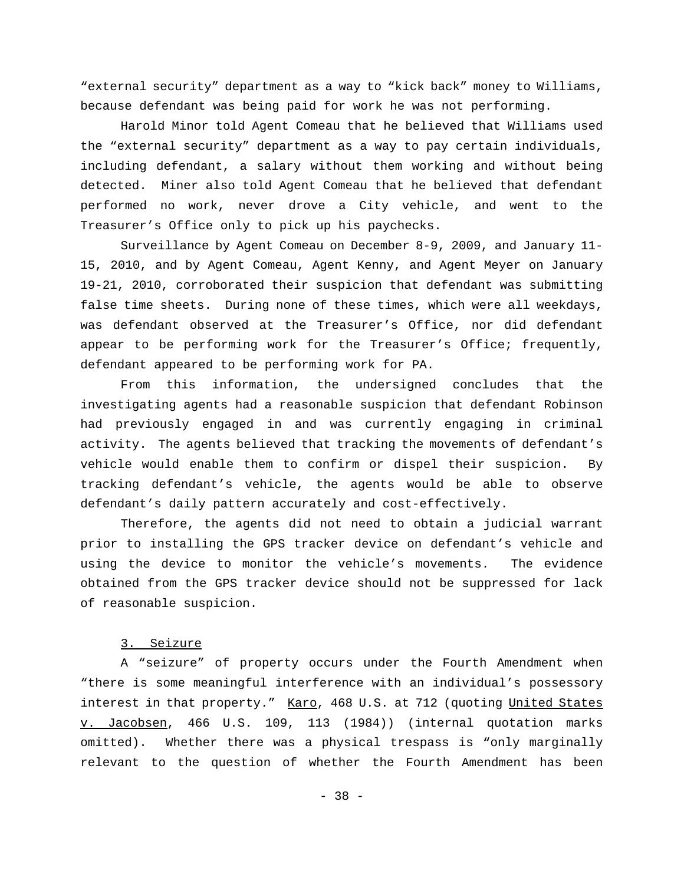"external security" department as a way to "kick back" money to Williams, because defendant was being paid for work he was not performing.

Harold Minor told Agent Comeau that he believed that Williams used the "external security" department as a way to pay certain individuals, including defendant, a salary without them working and without being detected. Miner also told Agent Comeau that he believed that defendant performed no work, never drove a City vehicle, and went to the Treasurer's Office only to pick up his paychecks.

Surveillance by Agent Comeau on December 8-9, 2009, and January 11- 15, 2010, and by Agent Comeau, Agent Kenny, and Agent Meyer on January 19-21, 2010, corroborated their suspicion that defendant was submitting false time sheets. During none of these times, which were all weekdays, was defendant observed at the Treasurer's Office, nor did defendant appear to be performing work for the Treasurer's Office; frequently, defendant appeared to be performing work for PA.

From this information, the undersigned concludes that the investigating agents had a reasonable suspicion that defendant Robinson had previously engaged in and was currently engaging in criminal activity. The agents believed that tracking the movements of defendant's vehicle would enable them to confirm or dispel their suspicion. By tracking defendant's vehicle, the agents would be able to observe defendant's daily pattern accurately and cost-effectively.

Therefore, the agents did not need to obtain a judicial warrant prior to installing the GPS tracker device on defendant's vehicle and using the device to monitor the vehicle's movements. The evidence obtained from the GPS tracker device should not be suppressed for lack of reasonable suspicion.

# 3. Seizure

A "seizure" of property occurs under the Fourth Amendment when "there is some meaningful interference with an individual's possessory interest in that property." Karo, 468 U.S. at 712 (quoting United States v. Jacobsen, 466 U.S. 109, 113 (1984)) (internal quotation marks omitted). Whether there was a physical trespass is "only marginally relevant to the question of whether the Fourth Amendment has been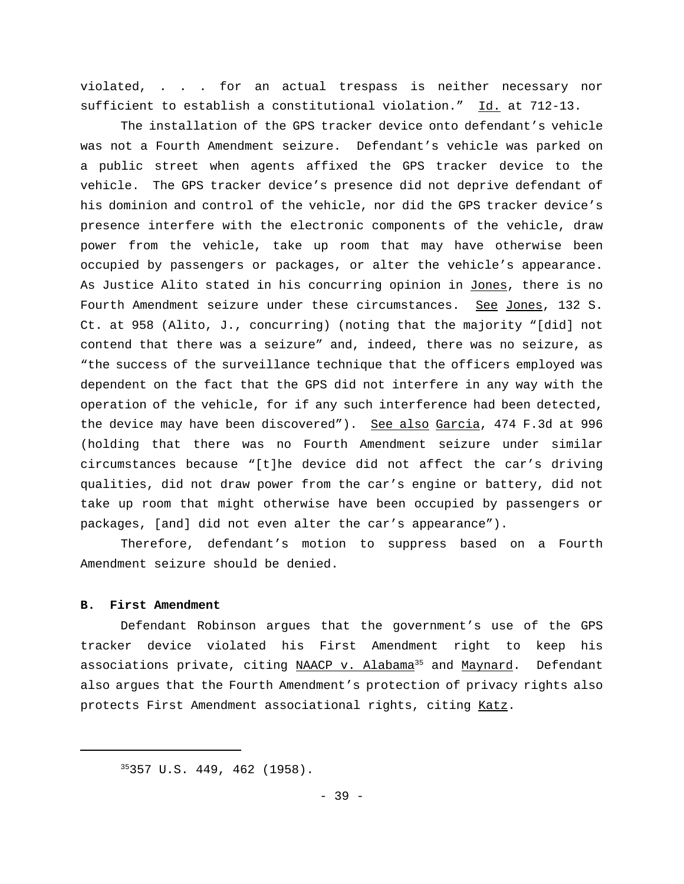violated, . . . for an actual trespass is neither necessary nor sufficient to establish a constitutional violation." Id. at 712-13.

The installation of the GPS tracker device onto defendant's vehicle was not a Fourth Amendment seizure. Defendant's vehicle was parked on a public street when agents affixed the GPS tracker device to the vehicle. The GPS tracker device's presence did not deprive defendant of his dominion and control of the vehicle, nor did the GPS tracker device's presence interfere with the electronic components of the vehicle, draw power from the vehicle, take up room that may have otherwise been occupied by passengers or packages, or alter the vehicle's appearance. As Justice Alito stated in his concurring opinion in Jones, there is no Fourth Amendment seizure under these circumstances. See Jones, 132 S. Ct. at 958 (Alito, J., concurring) (noting that the majority "[did] not contend that there was a seizure" and, indeed, there was no seizure, as "the success of the surveillance technique that the officers employed was dependent on the fact that the GPS did not interfere in any way with the operation of the vehicle, for if any such interference had been detected, the device may have been discovered"). See also Garcia, 474 F.3d at 996 (holding that there was no Fourth Amendment seizure under similar circumstances because "[t]he device did not affect the car's driving qualities, did not draw power from the car's engine or battery, did not take up room that might otherwise have been occupied by passengers or packages, [and] did not even alter the car's appearance").

Therefore, defendant's motion to suppress based on a Fourth Amendment seizure should be denied.

### **B. First Amendment**

Defendant Robinson argues that the government's use of the GPS tracker device violated his First Amendment right to keep his associations private, citing NAACP v. Alabama<sup>35</sup> and Maynard. Defendant also argues that the Fourth Amendment's protection of privacy rights also protects First Amendment associational rights, citing Katz.

<sup>35</sup>357 U.S. 449, 462 (1958).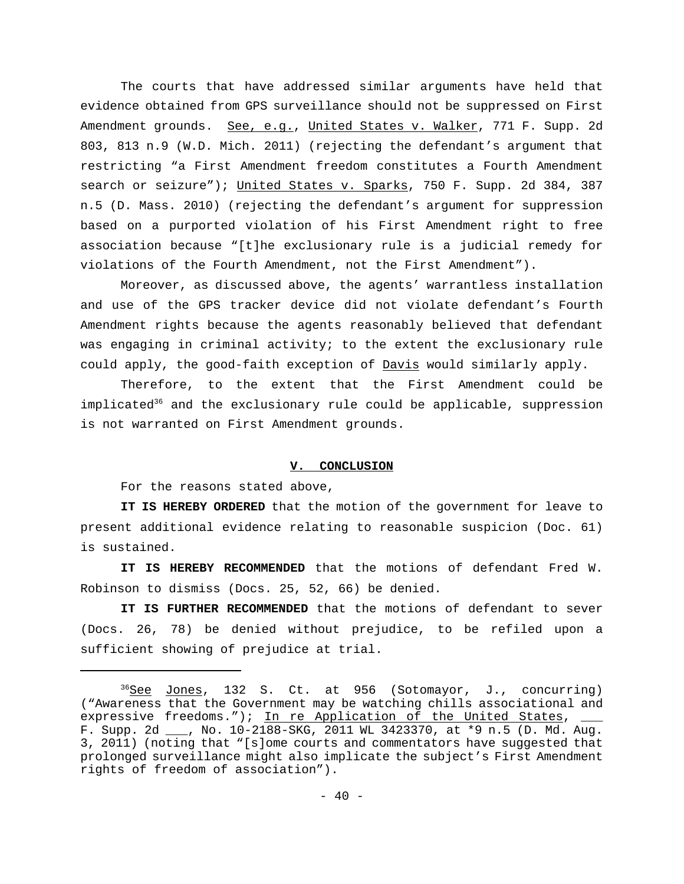The courts that have addressed similar arguments have held that evidence obtained from GPS surveillance should not be suppressed on First Amendment grounds. See, e.g., United States v. Walker, 771 F. Supp. 2d 803, 813 n.9 (W.D. Mich. 2011) (rejecting the defendant's argument that restricting "a First Amendment freedom constitutes a Fourth Amendment search or seizure"); United States v. Sparks, 750 F. Supp. 2d 384, 387 n.5 (D. Mass. 2010) (rejecting the defendant's argument for suppression based on a purported violation of his First Amendment right to free association because "[t]he exclusionary rule is a judicial remedy for violations of the Fourth Amendment, not the First Amendment").

Moreover, as discussed above, the agents' warrantless installation and use of the GPS tracker device did not violate defendant's Fourth Amendment rights because the agents reasonably believed that defendant was engaging in criminal activity; to the extent the exclusionary rule could apply, the good-faith exception of Davis would similarly apply.

Therefore, to the extent that the First Amendment could be implicated<sup>36</sup> and the exclusionary rule could be applicable, suppression is not warranted on First Amendment grounds.

# **V. CONCLUSION**

For the reasons stated above,

**IT IS HEREBY ORDERED** that the motion of the government for leave to present additional evidence relating to reasonable suspicion (Doc. 61) is sustained.

**IT IS HEREBY RECOMMENDED** that the motions of defendant Fred W. Robinson to dismiss (Docs. 25, 52, 66) be denied.

**IT IS FURTHER RECOMMENDED** that the motions of defendant to sever (Docs. 26, 78) be denied without prejudice, to be refiled upon a sufficient showing of prejudice at trial.

<sup>&</sup>lt;sup>36</sup>See Jones, 132 S. Ct. at 956 (Sotomayor, J., concurring) ("Awareness that the Government may be watching chills associational and expressive freedoms."); In re Application of the United States, F. Supp. 2d \_\_\_, No. 10-2188-SKG, 2011 WL 3423370, at \*9 n.5 (D. Md. Aug. 3, 2011) (noting that "[s]ome courts and commentators have suggested that prolonged surveillance might also implicate the subject's First Amendment rights of freedom of association").